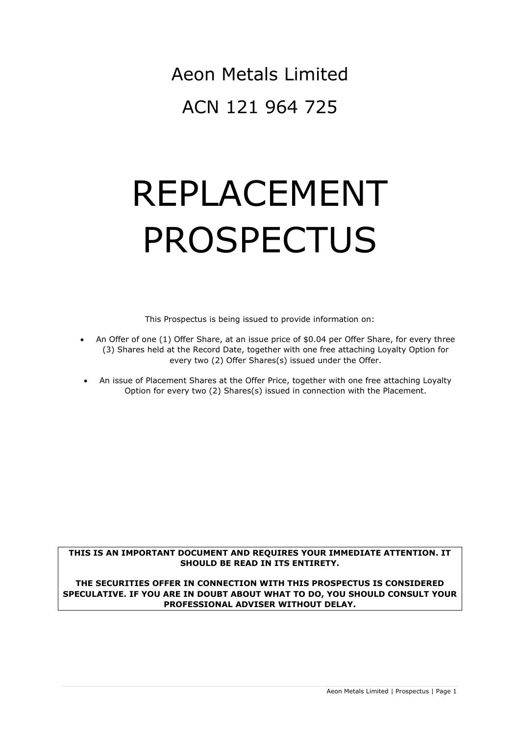Aeon Metals Limited ACN 121 964 725

# REPLACEMENT PROSPECTUS

This Prospectus is being issued to provide information on:

- An Offer of one (1) Offer Share, at an issue price of \$0.04 per Offer Share, for every three (3) Shares held at the Record Date, together with one free attaching Loyalty Option for every two (2) Offer Shares(s) issued under the Offer.
- An issue of Placement Shares at the Offer Price, together with one free attaching Loyalty Option for every two (2) Shares(s) issued in connection with the Placement.

## **THIS IS AN IMPORTANT DOCUMENT AND REQUIRES YOUR IMMEDIATE ATTENTION. IT SHOULD BE READ IN ITS ENTIRETY.**

**THE SECURITIES OFFER IN CONNECTION WITH THIS PROSPECTUS IS CONSIDERED SPECULATIVE. IF YOU ARE IN DOUBT ABOUT WHAT TO DO, YOU SHOULD CONSULT YOUR PROFESSIONAL ADVISER WITHOUT DELAY.**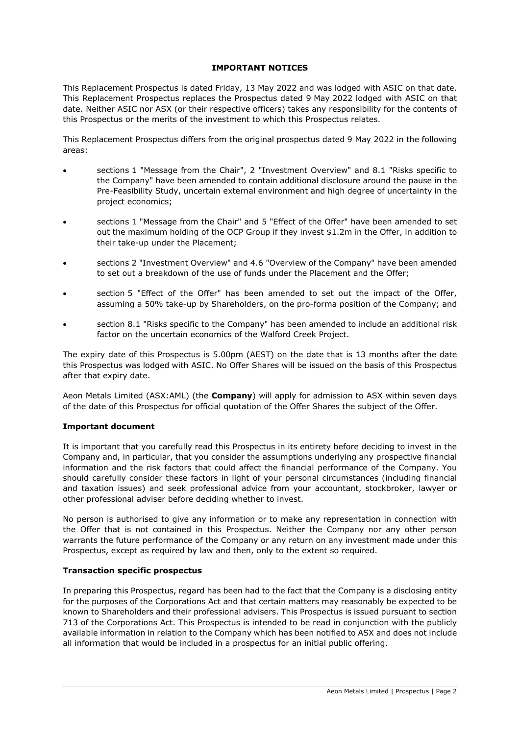## **IMPORTANT NOTICES**

This Replacement Prospectus is dated Friday, 13 May 2022 and was lodged with ASIC on that date. This Replacement Prospectus replaces the Prospectus dated 9 May 2022 lodged with ASIC on that date. Neither ASIC nor ASX (or their respective officers) takes any responsibility for the contents of this Prospectus or the merits of the investment to which this Prospectus relates.

This Replacement Prospectus differs from the original prospectus dated 9 May 2022 in the following areas:

- sections [1](#page-7-0) "Message from the Chair", [2](#page-9-0) "Investment Overview" and [8.1](#page-33-0) "Risks specific to the Company" have been amended to contain additional disclosure around the pause in the Pre-Feasibility Study, uncertain external environment and high degree of uncertainty in the project economics;
- sections [1](#page-7-0) "Message from the Chair" and [5](#page-24-0) "Effect of the Offer" have been amended to set out the maximum holding of the OCP Group if they invest \$1.2m in the Offer, in addition to their take-up under the Placement;
- sections [2](#page-9-0) "Investment Overview" and [4.6](#page-22-0) "Overview of the Company" have been amended to set out a breakdown of the use of funds under the Placement and the Offer;
- section [5](#page-24-0) "Effect of the Offer" has been amended to set out the impact of the Offer, assuming a 50% take-up by Shareholders, on the pro-forma position of the Company; and
- section [8.1](#page-33-0) "Risks specific to the Company" has been amended to include an additional risk factor on the uncertain economics of the Walford Creek Project.

The expiry date of this Prospectus is 5.00pm (AEST) on the date that is 13 months after the date this Prospectus was lodged with ASIC. No Offer Shares will be issued on the basis of this Prospectus after that expiry date.

Aeon Metals Limited (ASX:AML) (the **Company**) will apply for admission to ASX within seven days of the date of this Prospectus for official quotation of the Offer Shares the subject of the Offer.

#### **Important document**

It is important that you carefully read this Prospectus in its entirety before deciding to invest in the Company and, in particular, that you consider the assumptions underlying any prospective financial information and the risk factors that could affect the financial performance of the Company. You should carefully consider these factors in light of your personal circumstances (including financial and taxation issues) and seek professional advice from your accountant, stockbroker, lawyer or other professional adviser before deciding whether to invest.

No person is authorised to give any information or to make any representation in connection with the Offer that is not contained in this Prospectus. Neither the Company nor any other person warrants the future performance of the Company or any return on any investment made under this Prospectus, except as required by law and then, only to the extent so required.

#### **Transaction specific prospectus**

In preparing this Prospectus, regard has been had to the fact that the Company is a disclosing entity for the purposes of the Corporations Act and that certain matters may reasonably be expected to be known to Shareholders and their professional advisers. This Prospectus is issued pursuant to section 713 of the Corporations Act. This Prospectus is intended to be read in conjunction with the publicly available information in relation to the Company which has been notified to ASX and does not include all information that would be included in a prospectus for an initial public offering.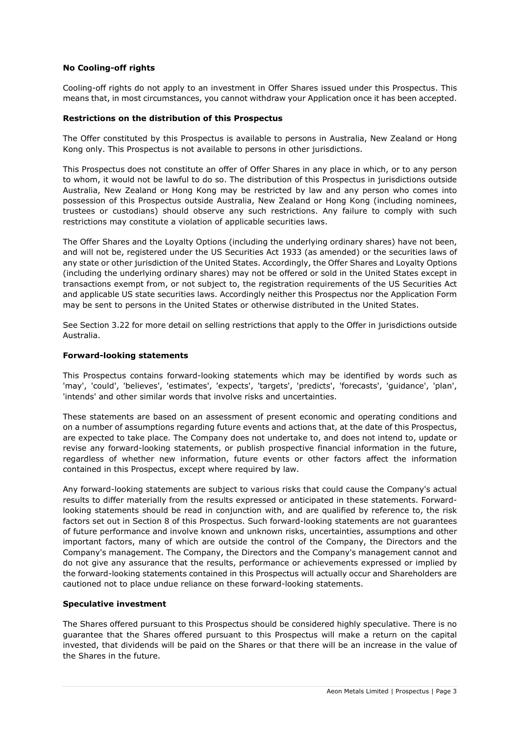## **No Cooling-off rights**

Cooling-off rights do not apply to an investment in Offer Shares issued under this Prospectus. This means that, in most circumstances, you cannot withdraw your Application once it has been accepted.

#### **Restrictions on the distribution of this Prospectus**

The Offer constituted by this Prospectus is available to persons in Australia, New Zealand or Hong Kong only. This Prospectus is not available to persons in other jurisdictions.

This Prospectus does not constitute an offer of Offer Shares in any place in which, or to any person to whom, it would not be lawful to do so. The distribution of this Prospectus in jurisdictions outside Australia, New Zealand or Hong Kong may be restricted by law and any person who comes into possession of this Prospectus outside Australia, New Zealand or Hong Kong (including nominees, trustees or custodians) should observe any such restrictions. Any failure to comply with such restrictions may constitute a violation of applicable securities laws.

The Offer Shares and the Loyalty Options (including the underlying ordinary shares) have not been, and will not be, registered under the US Securities Act 1933 (as amended) or the securities laws of any state or other jurisdiction of the United States. Accordingly, the Offer Shares and Loyalty Options (including the underlying ordinary shares) may not be offered or sold in the United States except in transactions exempt from, or not subject to, the registration requirements of the US Securities Act and applicable US state securities laws. Accordingly neither this Prospectus nor the Application Form may be sent to persons in the United States or otherwise distributed in the United States.

See Section [3.22](#page-18-0) for more detail on selling restrictions that apply to the Offer in jurisdictions outside Australia.

#### **Forward-looking statements**

This Prospectus contains forward-looking statements which may be identified by words such as 'may', 'could', 'believes', 'estimates', 'expects', 'targets', 'predicts', 'forecasts', 'guidance', 'plan', 'intends' and other similar words that involve risks and uncertainties.

These statements are based on an assessment of present economic and operating conditions and on a number of assumptions regarding future events and actions that, at the date of this Prospectus, are expected to take place. The Company does not undertake to, and does not intend to, update or revise any forward-looking statements, or publish prospective financial information in the future, regardless of whether new information, future events or other factors affect the information contained in this Prospectus, except where required by law.

Any forward-looking statements are subject to various risks that could cause the Company's actual results to differ materially from the results expressed or anticipated in these statements. Forwardlooking statements should be read in conjunction with, and are qualified by reference to, the risk factors set out in Section [8](#page-33-1) of this Prospectus. Such forward-looking statements are not guarantees of future performance and involve known and unknown risks, uncertainties, assumptions and other important factors, many of which are outside the control of the Company, the Directors and the Company's management. The Company, the Directors and the Company's management cannot and do not give any assurance that the results, performance or achievements expressed or implied by the forward-looking statements contained in this Prospectus will actually occur and Shareholders are cautioned not to place undue reliance on these forward-looking statements.

#### **Speculative investment**

The Shares offered pursuant to this Prospectus should be considered highly speculative. There is no guarantee that the Shares offered pursuant to this Prospectus will make a return on the capital invested, that dividends will be paid on the Shares or that there will be an increase in the value of the Shares in the future.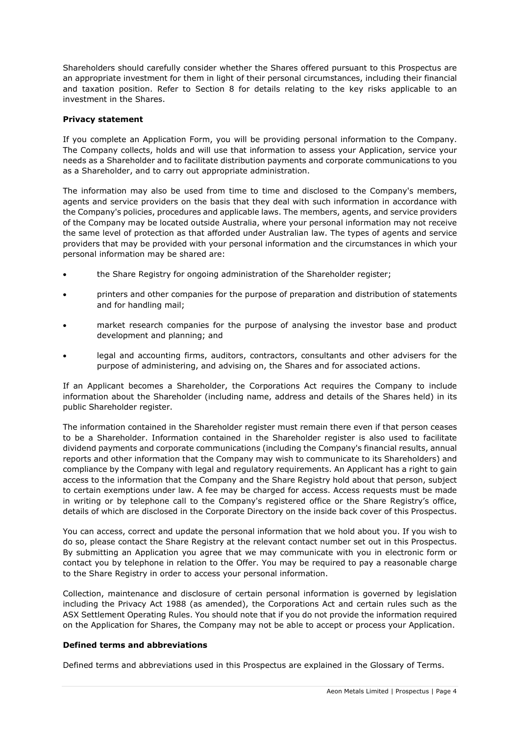Shareholders should carefully consider whether the Shares offered pursuant to this Prospectus are an appropriate investment for them in light of their personal circumstances, including their financial and taxation position. Refer to Section [8](#page-33-1) for details relating to the key risks applicable to an investment in the Shares.

## **Privacy statement**

If you complete an Application Form, you will be providing personal information to the Company. The Company collects, holds and will use that information to assess your Application, service your needs as a Shareholder and to facilitate distribution payments and corporate communications to you as a Shareholder, and to carry out appropriate administration.

The information may also be used from time to time and disclosed to the Company's members, agents and service providers on the basis that they deal with such information in accordance with the Company's policies, procedures and applicable laws. The members, agents, and service providers of the Company may be located outside Australia, where your personal information may not receive the same level of protection as that afforded under Australian law. The types of agents and service providers that may be provided with your personal information and the circumstances in which your personal information may be shared are:

- the Share Registry for ongoing administration of the Shareholder register;
- printers and other companies for the purpose of preparation and distribution of statements and for handling mail;
- market research companies for the purpose of analysing the investor base and product development and planning; and
- legal and accounting firms, auditors, contractors, consultants and other advisers for the purpose of administering, and advising on, the Shares and for associated actions.

If an Applicant becomes a Shareholder, the Corporations Act requires the Company to include information about the Shareholder (including name, address and details of the Shares held) in its public Shareholder register.

The information contained in the Shareholder register must remain there even if that person ceases to be a Shareholder. Information contained in the Shareholder register is also used to facilitate dividend payments and corporate communications (including the Company's financial results, annual reports and other information that the Company may wish to communicate to its Shareholders) and compliance by the Company with legal and regulatory requirements. An Applicant has a right to gain access to the information that the Company and the Share Registry hold about that person, subject to certain exemptions under law. A fee may be charged for access. Access requests must be made in writing or by telephone call to the Company's registered office or the Share Registry's office, details of which are disclosed in the Corporate Directory on the inside back cover of this Prospectus.

You can access, correct and update the personal information that we hold about you. If you wish to do so, please contact the Share Registry at the relevant contact number set out in this Prospectus. By submitting an Application you agree that we may communicate with you in electronic form or contact you by telephone in relation to the Offer. You may be required to pay a reasonable charge to the Share Registry in order to access your personal information.

Collection, maintenance and disclosure of certain personal information is governed by legislation including the Privacy Act 1988 (as amended), the Corporations Act and certain rules such as the ASX Settlement Operating Rules. You should note that if you do not provide the information required on the Application for Shares, the Company may not be able to accept or process your Application.

#### **Defined terms and abbreviations**

Defined terms and abbreviations used in this Prospectus are explained in the Glossary of Terms.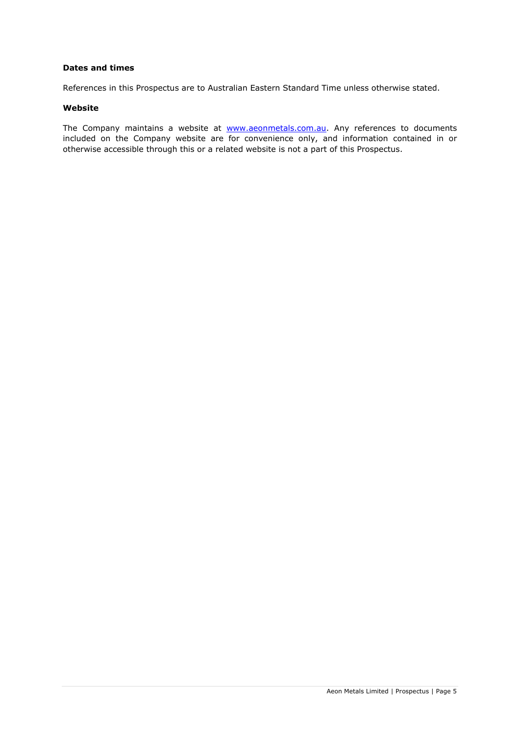## **Dates and times**

References in this Prospectus are to Australian Eastern Standard Time unless otherwise stated.

#### **Website**

The Company maintains a website at **www.aeonmetals.com.au**. Any references to documents included on the Company website are for convenience only, and information contained in or otherwise accessible through this or a related website is not a part of this Prospectus.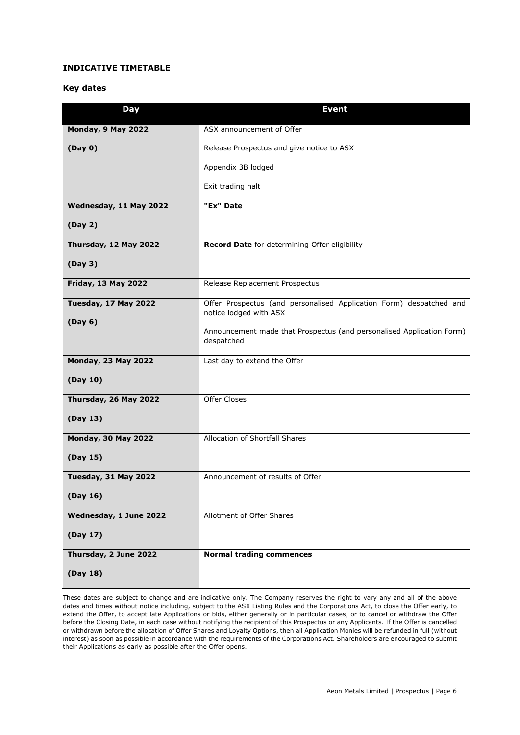## **INDICATIVE TIMETABLE**

#### **Key dates**

| Day                         | <b>Event</b>                                                                                  |
|-----------------------------|-----------------------------------------------------------------------------------------------|
| Monday, 9 May 2022          | ASX announcement of Offer                                                                     |
| (Day 0)                     | Release Prospectus and give notice to ASX                                                     |
|                             | Appendix 3B lodged                                                                            |
|                             | Exit trading halt                                                                             |
| Wednesday, 11 May 2022      | "Ex" Date                                                                                     |
| (Day 2)                     |                                                                                               |
| Thursday, 12 May 2022       | Record Date for determining Offer eligibility                                                 |
| (Day 3)                     |                                                                                               |
| <b>Friday, 13 May 2022</b>  | Release Replacement Prospectus                                                                |
| <b>Tuesday, 17 May 2022</b> | Offer Prospectus (and personalised Application Form) despatched and<br>notice lodged with ASX |
| (Day 6)                     | Announcement made that Prospectus (and personalised Application Form)                         |
|                             | despatched                                                                                    |
| <b>Monday, 23 May 2022</b>  | Last day to extend the Offer                                                                  |
| (Day 10)                    |                                                                                               |
| Thursday, 26 May 2022       | Offer Closes                                                                                  |
| (Day 13)                    |                                                                                               |
| <b>Monday, 30 May 2022</b>  | Allocation of Shortfall Shares                                                                |
| (Day 15)                    |                                                                                               |
| Tuesday, 31 May 2022        | Announcement of results of Offer                                                              |
| (Day 16)                    |                                                                                               |
| Wednesday, 1 June 2022      | Allotment of Offer Shares                                                                     |
| (Day 17)                    |                                                                                               |
| Thursday, 2 June 2022       | <b>Normal trading commences</b>                                                               |
| (Day 18)                    |                                                                                               |

These dates are subject to change and are indicative only. The Company reserves the right to vary any and all of the above dates and times without notice including, subject to the ASX Listing Rules and the Corporations Act, to close the Offer early, to extend the Offer, to accept late Applications or bids, either generally or in particular cases, or to cancel or withdraw the Offer before the Closing Date, in each case without notifying the recipient of this Prospectus or any Applicants. If the Offer is cancelled or withdrawn before the allocation of Offer Shares and Loyalty Options, then all Application Monies will be refunded in full (without interest) as soon as possible in accordance with the requirements of the Corporations Act. Shareholders are encouraged to submit their Applications as early as possible after the Offer opens.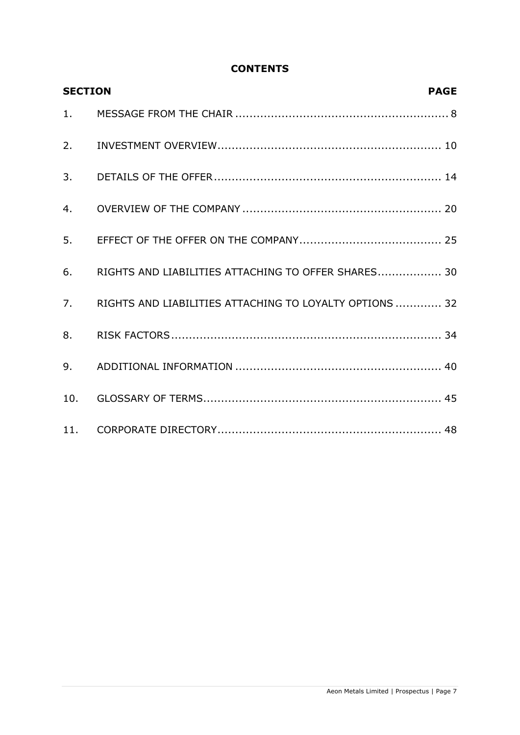# **CONTENTS**

| <b>SECTION</b> | <b>PAGE</b>                                             |
|----------------|---------------------------------------------------------|
| 1.             |                                                         |
| 2.             |                                                         |
| 3.             |                                                         |
| 4.             |                                                         |
| 5.             |                                                         |
| 6.             | RIGHTS AND LIABILITIES ATTACHING TO OFFER SHARES 30     |
| 7.             | RIGHTS AND LIABILITIES ATTACHING TO LOYALTY OPTIONS  32 |
| 8.             |                                                         |
| 9.             |                                                         |
| 10.            |                                                         |
|                |                                                         |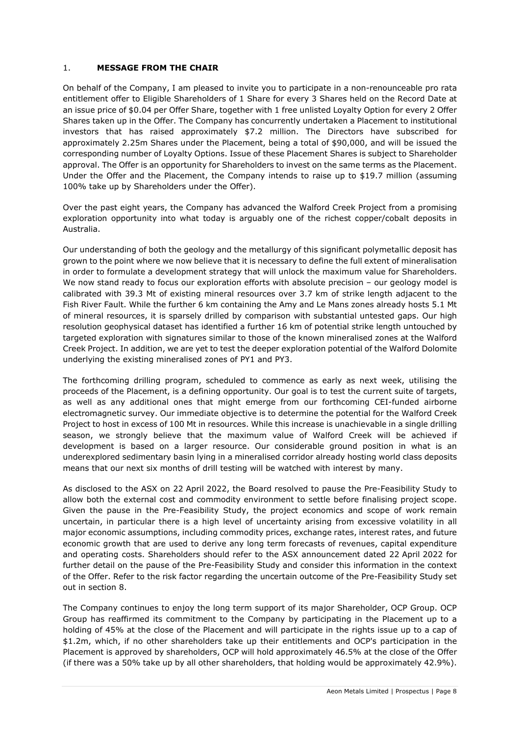## <span id="page-7-0"></span>1. **MESSAGE FROM THE CHAIR**

On behalf of the Company, I am pleased to invite you to participate in a non-renounceable pro rata entitlement offer to Eligible Shareholders of 1 Share for every 3 Shares held on the Record Date at an issue price of \$0.04 per Offer Share, together with 1 free unlisted Loyalty Option for every 2 Offer Shares taken up in the Offer. The Company has concurrently undertaken a Placement to institutional investors that has raised approximately \$7.2 million. The Directors have subscribed for approximately 2.25m Shares under the Placement, being a total of \$90,000, and will be issued the corresponding number of Loyalty Options. Issue of these Placement Shares is subject to Shareholder approval. The Offer is an opportunity for Shareholders to invest on the same terms as the Placement. Under the Offer and the Placement, the Company intends to raise up to \$19.7 million (assuming 100% take up by Shareholders under the Offer).

Over the past eight years, the Company has advanced the Walford Creek Project from a promising exploration opportunity into what today is arguably one of the richest copper/cobalt deposits in Australia.

Our understanding of both the geology and the metallurgy of this significant polymetallic deposit has grown to the point where we now believe that it is necessary to define the full extent of mineralisation in order to formulate a development strategy that will unlock the maximum value for Shareholders. We now stand ready to focus our exploration efforts with absolute precision - our geology model is calibrated with 39.3 Mt of existing mineral resources over 3.7 km of strike length adjacent to the Fish River Fault. While the further 6 km containing the Amy and Le Mans zones already hosts 5.1 Mt of mineral resources, it is sparsely drilled by comparison with substantial untested gaps. Our high resolution geophysical dataset has identified a further 16 km of potential strike length untouched by targeted exploration with signatures similar to those of the known mineralised zones at the Walford Creek Project. In addition, we are yet to test the deeper exploration potential of the Walford Dolomite underlying the existing mineralised zones of PY1 and PY3.

The forthcoming drilling program, scheduled to commence as early as next week, utilising the proceeds of the Placement, is a defining opportunity. Our goal is to test the current suite of targets, as well as any additional ones that might emerge from our forthcoming CEI-funded airborne electromagnetic survey. Our immediate objective is to determine the potential for the Walford Creek Project to host in excess of 100 Mt in resources. While this increase is unachievable in a single drilling season, we strongly believe that the maximum value of Walford Creek will be achieved if development is based on a larger resource. Our considerable ground position in what is an underexplored sedimentary basin lying in a mineralised corridor already hosting world class deposits means that our next six months of drill testing will be watched with interest by many.

As disclosed to the ASX on 22 April 2022, the Board resolved to pause the Pre-Feasibility Study to allow both the external cost and commodity environment to settle before finalising project scope. Given the pause in the Pre-Feasibility Study, the project economics and scope of work remain uncertain, in particular there is a high level of uncertainty arising from excessive volatility in all major economic assumptions, including commodity prices, exchange rates, interest rates, and future economic growth that are used to derive any long term forecasts of revenues, capital expenditure and operating costs. Shareholders should refer to the ASX announcement dated 22 April 2022 for further detail on the pause of the Pre-Feasibility Study and consider this information in the context of the Offer. Refer to the risk factor regarding the uncertain outcome of the Pre-Feasibility Study set out in section [8.](#page-33-1)

The Company continues to enjoy the long term support of its major Shareholder, OCP Group. OCP Group has reaffirmed its commitment to the Company by participating in the Placement up to a holding of 45% at the close of the Placement and will participate in the rights issue up to a cap of \$1.2m, which, if no other shareholders take up their entitlements and OCP's participation in the Placement is approved by shareholders, OCP will hold approximately 46.5% at the close of the Offer (if there was a 50% take up by all other shareholders, that holding would be approximately 42.9%).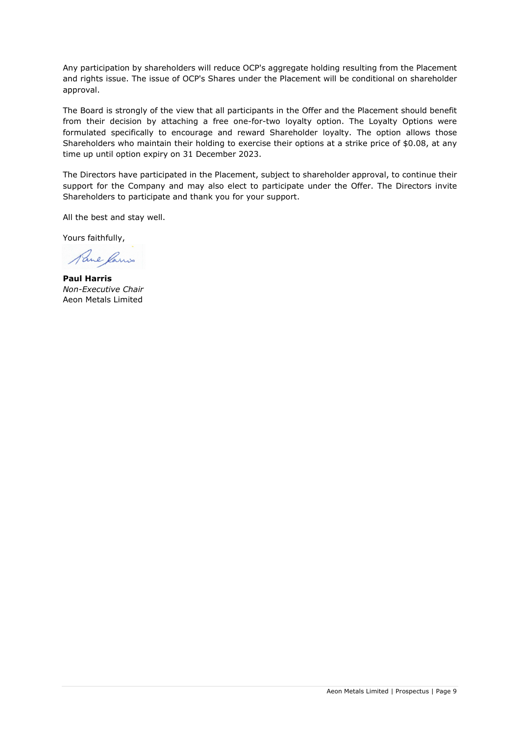Any participation by shareholders will reduce OCP's aggregate holding resulting from the Placement and rights issue. The issue of OCP's Shares under the Placement will be conditional on shareholder approval.

The Board is strongly of the view that all participants in the Offer and the Placement should benefit from their decision by attaching a free one-for-two loyalty option. The Loyalty Options were formulated specifically to encourage and reward Shareholder loyalty. The option allows those Shareholders who maintain their holding to exercise their options at a strike price of \$0.08, at any time up until option expiry on 31 December 2023.

The Directors have participated in the Placement, subject to shareholder approval, to continue their support for the Company and may also elect to participate under the Offer. The Directors invite Shareholders to participate and thank you for your support.

All the best and stay well.

Yours faithfully,

Pare Ramis

**Paul Harris** *Non-Executive Chair* Aeon Metals Limited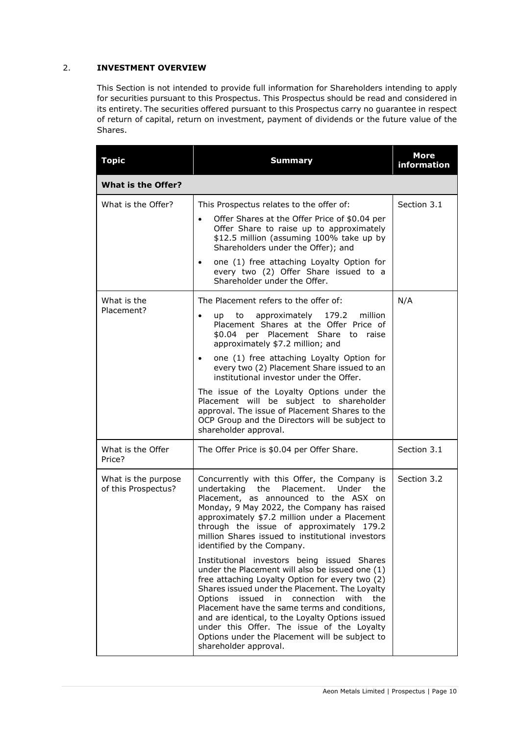# <span id="page-9-0"></span>2. **INVESTMENT OVERVIEW**

This Section is not intended to provide full information for Shareholders intending to apply for securities pursuant to this Prospectus. This Prospectus should be read and considered in its entirety. The securities offered pursuant to this Prospectus carry no guarantee in respect of return of capital, return on investment, payment of dividends or the future value of the Shares.

| <b>Summary</b>                                                                                                                                                                                                                                                                                                                                                                                                                                                                                                                                                                                                                                                                                                                                                                                                                       | <b>More</b><br>information                            |  |  |  |  |  |
|--------------------------------------------------------------------------------------------------------------------------------------------------------------------------------------------------------------------------------------------------------------------------------------------------------------------------------------------------------------------------------------------------------------------------------------------------------------------------------------------------------------------------------------------------------------------------------------------------------------------------------------------------------------------------------------------------------------------------------------------------------------------------------------------------------------------------------------|-------------------------------------------------------|--|--|--|--|--|
| <b>What is the Offer?</b>                                                                                                                                                                                                                                                                                                                                                                                                                                                                                                                                                                                                                                                                                                                                                                                                            |                                                       |  |  |  |  |  |
| This Prospectus relates to the offer of:<br>Offer Shares at the Offer Price of \$0.04 per<br>$\bullet$<br>Offer Share to raise up to approximately<br>\$12.5 million (assuming 100% take up by<br>Shareholders under the Offer); and<br>one (1) free attaching Loyalty Option for<br>٠<br>every two (2) Offer Share issued to a                                                                                                                                                                                                                                                                                                                                                                                                                                                                                                      | Section 3.1                                           |  |  |  |  |  |
| The Placement refers to the offer of:<br>approximately<br>179.2<br>million<br>to<br>up<br>$\bullet$<br>Placement Shares at the Offer Price of<br>\$0.04 per Placement Share to raise<br>approximately \$7.2 million; and<br>one (1) free attaching Loyalty Option for<br>$\bullet$<br>every two (2) Placement Share issued to an<br>institutional investor under the Offer.<br>The issue of the Loyalty Options under the<br>Placement will be subject to shareholder<br>approval. The issue of Placement Shares to the<br>OCP Group and the Directors will be subject to<br>shareholder approval.                                                                                                                                                                                                                                   | N/A                                                   |  |  |  |  |  |
| The Offer Price is \$0.04 per Offer Share.                                                                                                                                                                                                                                                                                                                                                                                                                                                                                                                                                                                                                                                                                                                                                                                           | Section 3.1                                           |  |  |  |  |  |
| Concurrently with this Offer, the Company is<br>undertaking the<br>Placement.<br>Under<br>the<br>Placement, as announced to the ASX on<br>Monday, 9 May 2022, the Company has raised<br>approximately \$7.2 million under a Placement<br>through the issue of approximately 179.2<br>million Shares issued to institutional investors<br>identified by the Company.<br>Institutional investors being issued Shares<br>under the Placement will also be issued one (1)<br>free attaching Loyalty Option for every two (2)<br>Shares issued under the Placement. The Loyalty<br>issued<br>in connection<br>Options<br>with<br>the<br>Placement have the same terms and conditions,<br>and are identical, to the Loyalty Options issued<br>under this Offer. The issue of the Loyalty<br>Options under the Placement will be subject to | Section 3.2                                           |  |  |  |  |  |
|                                                                                                                                                                                                                                                                                                                                                                                                                                                                                                                                                                                                                                                                                                                                                                                                                                      | Shareholder under the Offer.<br>shareholder approval. |  |  |  |  |  |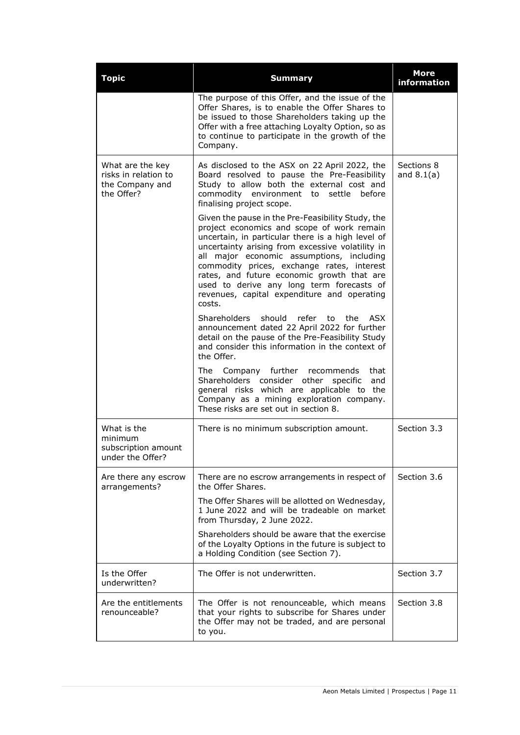| <b>Topic</b>                                                              | <b>Summary</b>                                                                                                                                                                                                                                                                                                                                                                                                                                          | <b>More</b><br>information |
|---------------------------------------------------------------------------|---------------------------------------------------------------------------------------------------------------------------------------------------------------------------------------------------------------------------------------------------------------------------------------------------------------------------------------------------------------------------------------------------------------------------------------------------------|----------------------------|
|                                                                           | The purpose of this Offer, and the issue of the<br>Offer Shares, is to enable the Offer Shares to<br>be issued to those Shareholders taking up the<br>Offer with a free attaching Loyalty Option, so as<br>to continue to participate in the growth of the<br>Company.                                                                                                                                                                                  |                            |
| What are the key<br>risks in relation to<br>the Company and<br>the Offer? | As disclosed to the ASX on 22 April 2022, the<br>Board resolved to pause the Pre-Feasibility<br>Study to allow both the external cost and<br>commodity environment to settle before<br>finalising project scope.                                                                                                                                                                                                                                        | Sections 8<br>and $8.1(a)$ |
|                                                                           | Given the pause in the Pre-Feasibility Study, the<br>project economics and scope of work remain<br>uncertain, in particular there is a high level of<br>uncertainty arising from excessive volatility in<br>all major economic assumptions, including<br>commodity prices, exchange rates, interest<br>rates, and future economic growth that are<br>used to derive any long term forecasts of<br>revenues, capital expenditure and operating<br>costs. |                            |
|                                                                           | Shareholders<br>should<br>refer<br>to<br>the<br>ASX<br>announcement dated 22 April 2022 for further<br>detail on the pause of the Pre-Feasibility Study<br>and consider this information in the context of<br>the Offer.                                                                                                                                                                                                                                |                            |
|                                                                           | Company further<br>The<br>recommends<br>that<br>Shareholders consider other<br>specific<br>and<br>general risks which are applicable to the<br>Company as a mining exploration company.<br>These risks are set out in section 8.                                                                                                                                                                                                                        |                            |
| What is the<br>minimum<br>subscription amount<br>under the Offer?         | There is no minimum subscription amount.                                                                                                                                                                                                                                                                                                                                                                                                                | Section 3.3                |
| Are there any escrow<br>arrangements?                                     | There are no escrow arrangements in respect of<br>the Offer Shares.                                                                                                                                                                                                                                                                                                                                                                                     | Section 3.6                |
|                                                                           | The Offer Shares will be allotted on Wednesday,<br>1 June 2022 and will be tradeable on market<br>from Thursday, 2 June 2022.                                                                                                                                                                                                                                                                                                                           |                            |
|                                                                           | Shareholders should be aware that the exercise<br>of the Loyalty Options in the future is subject to<br>a Holding Condition (see Section 7).                                                                                                                                                                                                                                                                                                            |                            |
| Is the Offer<br>underwritten?                                             | The Offer is not underwritten.                                                                                                                                                                                                                                                                                                                                                                                                                          | Section 3.7                |
| Are the entitlements<br>renounceable?                                     | The Offer is not renounceable, which means<br>that your rights to subscribe for Shares under<br>the Offer may not be traded, and are personal<br>to you.                                                                                                                                                                                                                                                                                                | Section 3.8                |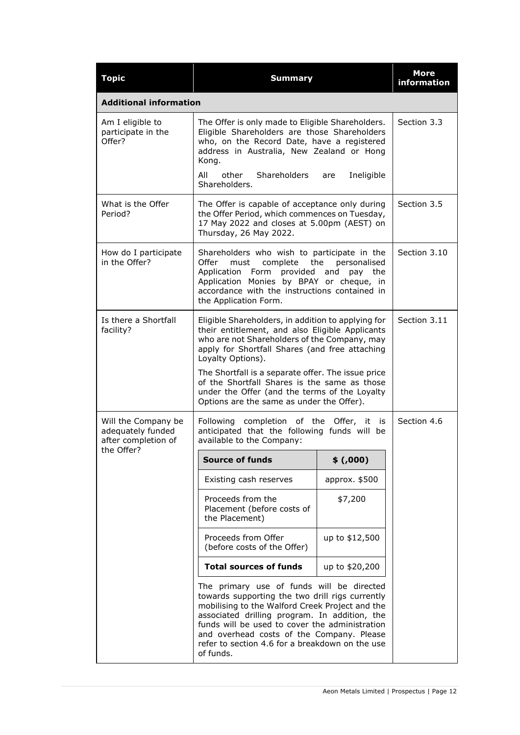| <b>Topic</b>                                                    | <b>Summary</b>                                                                                                                                                                                                                                                                                                                                                                                                                   | <b>More</b><br>information |              |
|-----------------------------------------------------------------|----------------------------------------------------------------------------------------------------------------------------------------------------------------------------------------------------------------------------------------------------------------------------------------------------------------------------------------------------------------------------------------------------------------------------------|----------------------------|--------------|
| <b>Additional information</b>                                   |                                                                                                                                                                                                                                                                                                                                                                                                                                  |                            |              |
| Am I eligible to<br>participate in the<br>Offer?                | The Offer is only made to Eligible Shareholders.<br>Eligible Shareholders are those Shareholders<br>who, on the Record Date, have a registered<br>address in Australia, New Zealand or Hong<br>Kong.<br>Shareholders<br>All<br>other<br>Shareholders.                                                                                                                                                                            | Section 3.3                |              |
| What is the Offer<br>Period?                                    | The Offer is capable of acceptance only during<br>the Offer Period, which commences on Tuesday,<br>17 May 2022 and closes at 5.00pm (AEST) on<br>Thursday, 26 May 2022.                                                                                                                                                                                                                                                          |                            | Section 3.5  |
| How do I participate<br>in the Offer?                           | Shareholders who wish to participate in the<br>Offer<br>must<br>Application Form provided and pay the<br>Application Monies by BPAY or cheque, in<br>accordance with the instructions contained in<br>the Application Form.                                                                                                                                                                                                      | complete the personalised  | Section 3.10 |
| Is there a Shortfall<br>facility?                               | Eligible Shareholders, in addition to applying for<br>their entitlement, and also Eligible Applicants<br>who are not Shareholders of the Company, may<br>apply for Shortfall Shares (and free attaching<br>Loyalty Options).<br>The Shortfall is a separate offer. The issue price<br>of the Shortfall Shares is the same as those<br>under the Offer (and the terms of the Loyalty<br>Options are the same as under the Offer). | Section 3.11               |              |
| Will the Company be<br>adequately funded<br>after completion of | <b>Following</b><br>completion of the Offer, it<br>anticipated that the following funds will be<br>available to the Company:                                                                                                                                                                                                                                                                                                     | is i                       | Section 4.6  |
| the Offer?                                                      | <b>Source of funds</b>                                                                                                                                                                                                                                                                                                                                                                                                           | \$(.000)                   |              |
|                                                                 | Existing cash reserves                                                                                                                                                                                                                                                                                                                                                                                                           | approx. \$500              |              |
|                                                                 | Proceeds from the<br>Placement (before costs of<br>the Placement)                                                                                                                                                                                                                                                                                                                                                                | \$7,200                    |              |
|                                                                 | Proceeds from Offer<br>up to \$12,500<br>(before costs of the Offer)                                                                                                                                                                                                                                                                                                                                                             |                            |              |
|                                                                 | <b>Total sources of funds</b>                                                                                                                                                                                                                                                                                                                                                                                                    |                            |              |
|                                                                 | The primary use of funds will be directed<br>towards supporting the two drill rigs currently<br>mobilising to the Walford Creek Project and the<br>associated drilling program. In addition, the<br>funds will be used to cover the administration<br>and overhead costs of the Company. Please<br>refer to section 4.6 for a breakdown on the use<br>of funds.                                                                  |                            |              |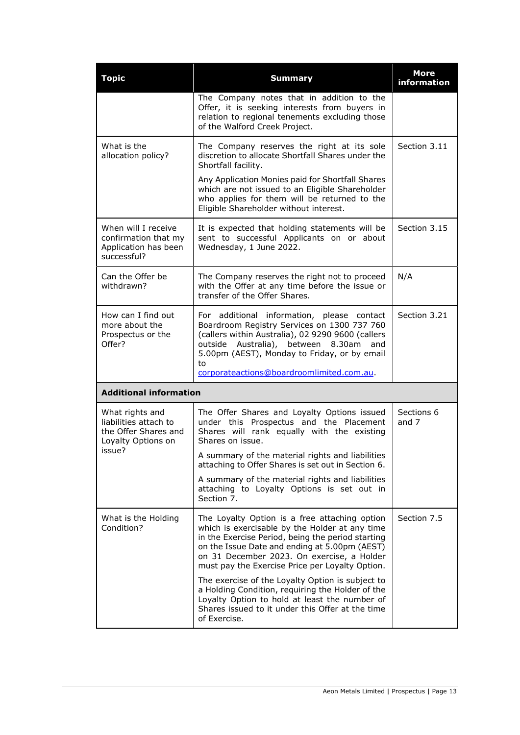| <b>Topic</b>                                                                                     | <b>Summary</b>                                                                                                                                                                                                                                                                                         | <b>More</b><br>information |
|--------------------------------------------------------------------------------------------------|--------------------------------------------------------------------------------------------------------------------------------------------------------------------------------------------------------------------------------------------------------------------------------------------------------|----------------------------|
|                                                                                                  | The Company notes that in addition to the<br>Offer, it is seeking interests from buyers in<br>relation to regional tenements excluding those<br>of the Walford Creek Project.                                                                                                                          |                            |
| What is the<br>allocation policy?                                                                | The Company reserves the right at its sole<br>discretion to allocate Shortfall Shares under the<br>Shortfall facility.                                                                                                                                                                                 | Section 3.11               |
|                                                                                                  | Any Application Monies paid for Shortfall Shares<br>which are not issued to an Eligible Shareholder<br>who applies for them will be returned to the<br>Eligible Shareholder without interest.                                                                                                          |                            |
| When will I receive<br>confirmation that my<br>Application has been<br>successful?               | It is expected that holding statements will be<br>sent to successful Applicants on or about<br>Wednesday, 1 June 2022.                                                                                                                                                                                 | Section 3.15               |
| Can the Offer be<br>withdrawn?                                                                   | The Company reserves the right not to proceed<br>with the Offer at any time before the issue or<br>transfer of the Offer Shares.                                                                                                                                                                       | N/A                        |
| How can I find out<br>more about the<br>Prospectus or the<br>Offer?                              | For additional information, please contact<br>Boardroom Registry Services on 1300 737 760<br>(callers within Australia), 02 9290 9600 (callers<br>Australia), between 8.30am<br>outside<br>and<br>5.00pm (AEST), Monday to Friday, or by email<br>to<br>corporateactions@boardroomlimited.com.au.      | Section 3.21               |
| <b>Additional information</b>                                                                    |                                                                                                                                                                                                                                                                                                        |                            |
| What rights and<br>liabilities attach to<br>the Offer Shares and<br>Loyalty Options on<br>issue? | The Offer Shares and Loyalty Options issued<br>under this Prospectus and the Placement<br>Shares will rank equally with the existing<br>Shares on issue.<br>A summary of the material rights and liabilities<br>attaching to Offer Shares is set out in Section 6.                                     | Sections 6<br>and 7        |
|                                                                                                  | A summary of the material rights and liabilities<br>attaching to Loyalty Options is set out in<br>Section 7.                                                                                                                                                                                           |                            |
| What is the Holding<br>Condition?                                                                | The Loyalty Option is a free attaching option<br>which is exercisable by the Holder at any time<br>in the Exercise Period, being the period starting<br>on the Issue Date and ending at 5.00pm (AEST)<br>on 31 December 2023. On exercise, a Holder<br>must pay the Exercise Price per Loyalty Option. | Section 7.5                |
|                                                                                                  | The exercise of the Loyalty Option is subject to<br>a Holding Condition, requiring the Holder of the<br>Loyalty Option to hold at least the number of<br>Shares issued to it under this Offer at the time<br>of Exercise.                                                                              |                            |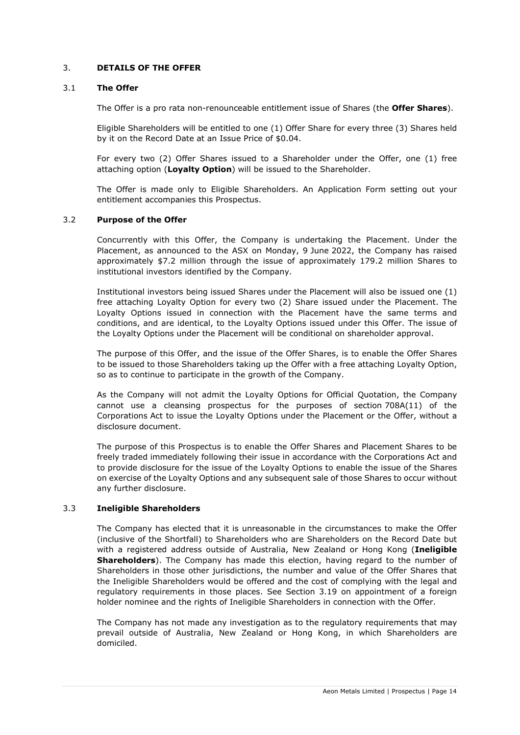## <span id="page-13-0"></span>3. **DETAILS OF THE OFFER**

#### <span id="page-13-1"></span>3.1 **The Offer**

The Offer is a pro rata non-renounceable entitlement issue of Shares (the **Offer Shares**).

Eligible Shareholders will be entitled to one (1) Offer Share for every three (3) Shares held by it on the Record Date at an Issue Price of \$0.04.

For every two (2) Offer Shares issued to a Shareholder under the Offer, one (1) free attaching option (**Loyalty Option**) will be issued to the Shareholder.

The Offer is made only to Eligible Shareholders. An Application Form setting out your entitlement accompanies this Prospectus.

## <span id="page-13-2"></span>3.2 **Purpose of the Offer**

Concurrently with this Offer, the Company is undertaking the Placement. Under the Placement, as announced to the ASX on Monday, 9 June 2022, the Company has raised approximately \$7.2 million through the issue of approximately 179.2 million Shares to institutional investors identified by the Company.

Institutional investors being issued Shares under the Placement will also be issued one (1) free attaching Loyalty Option for every two (2) Share issued under the Placement. The Loyalty Options issued in connection with the Placement have the same terms and conditions, and are identical, to the Loyalty Options issued under this Offer. The issue of the Loyalty Options under the Placement will be conditional on shareholder approval.

The purpose of this Offer, and the issue of the Offer Shares, is to enable the Offer Shares to be issued to those Shareholders taking up the Offer with a free attaching Loyalty Option, so as to continue to participate in the growth of the Company.

As the Company will not admit the Loyalty Options for Official Quotation, the Company cannot use a cleansing prospectus for the purposes of section 708A(11) of the Corporations Act to issue the Loyalty Options under the Placement or the Offer, without a disclosure document.

The purpose of this Prospectus is to enable the Offer Shares and Placement Shares to be freely traded immediately following their issue in accordance with the Corporations Act and to provide disclosure for the issue of the Loyalty Options to enable the issue of the Shares on exercise of the Loyalty Options and any subsequent sale of those Shares to occur without any further disclosure.

## <span id="page-13-3"></span>3.3 **Ineligible Shareholders**

The Company has elected that it is unreasonable in the circumstances to make the Offer (inclusive of the Shortfall) to Shareholders who are Shareholders on the Record Date but with a registered address outside of Australia, New Zealand or Hong Kong (**Ineligible Shareholders**). The Company has made this election, having regard to the number of Shareholders in those other jurisdictions, the number and value of the Offer Shares that the Ineligible Shareholders would be offered and the cost of complying with the legal and regulatory requirements in those places. See Section [3.19](#page-17-0) on appointment of a foreign holder nominee and the rights of Ineligible Shareholders in connection with the Offer.

The Company has not made any investigation as to the regulatory requirements that may prevail outside of Australia, New Zealand or Hong Kong, in which Shareholders are domiciled.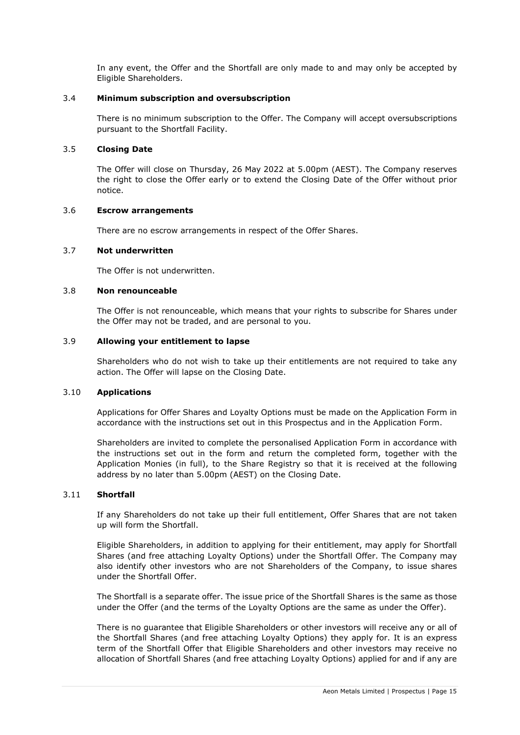In any event, the Offer and the Shortfall are only made to and may only be accepted by Eligible Shareholders.

## 3.4 **Minimum subscription and oversubscription**

There is no minimum subscription to the Offer. The Company will accept oversubscriptions pursuant to the Shortfall Facility.

## <span id="page-14-3"></span>3.5 **Closing Date**

The Offer will close on Thursday, 26 May 2022 at 5.00pm (AEST). The Company reserves the right to close the Offer early or to extend the Closing Date of the Offer without prior notice.

#### <span id="page-14-0"></span>3.6 **Escrow arrangements**

There are no escrow arrangements in respect of the Offer Shares.

## <span id="page-14-1"></span>3.7 **Not underwritten**

The Offer is not underwritten.

## <span id="page-14-2"></span>3.8 **Non renounceable**

The Offer is not renounceable, which means that your rights to subscribe for Shares under the Offer may not be traded, and are personal to you.

## 3.9 **Allowing your entitlement to lapse**

Shareholders who do not wish to take up their entitlements are not required to take any action. The Offer will lapse on the Closing Date.

#### <span id="page-14-4"></span>3.10 **Applications**

Applications for Offer Shares and Loyalty Options must be made on the Application Form in accordance with the instructions set out in this Prospectus and in the Application Form.

Shareholders are invited to complete the personalised Application Form in accordance with the instructions set out in the form and return the completed form, together with the Application Monies (in full), to the Share Registry so that it is received at the following address by no later than 5.00pm (AEST) on the Closing Date.

#### <span id="page-14-5"></span>3.11 **Shortfall**

If any Shareholders do not take up their full entitlement, Offer Shares that are not taken up will form the Shortfall.

Eligible Shareholders, in addition to applying for their entitlement, may apply for Shortfall Shares (and free attaching Loyalty Options) under the Shortfall Offer. The Company may also identify other investors who are not Shareholders of the Company, to issue shares under the Shortfall Offer.

The Shortfall is a separate offer. The issue price of the Shortfall Shares is the same as those under the Offer (and the terms of the Loyalty Options are the same as under the Offer).

There is no guarantee that Eligible Shareholders or other investors will receive any or all of the Shortfall Shares (and free attaching Loyalty Options) they apply for. It is an express term of the Shortfall Offer that Eligible Shareholders and other investors may receive no allocation of Shortfall Shares (and free attaching Loyalty Options) applied for and if any are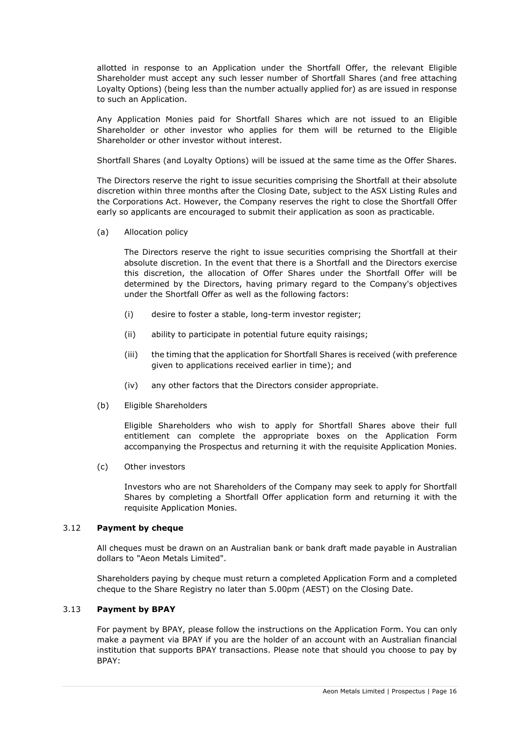allotted in response to an Application under the Shortfall Offer, the relevant Eligible Shareholder must accept any such lesser number of Shortfall Shares (and free attaching Loyalty Options) (being less than the number actually applied for) as are issued in response to such an Application.

Any Application Monies paid for Shortfall Shares which are not issued to an Eligible Shareholder or other investor who applies for them will be returned to the Eligible Shareholder or other investor without interest.

Shortfall Shares (and Loyalty Options) will be issued at the same time as the Offer Shares.

The Directors reserve the right to issue securities comprising the Shortfall at their absolute discretion within three months after the Closing Date, subject to the ASX Listing Rules and the Corporations Act. However, the Company reserves the right to close the Shortfall Offer early so applicants are encouraged to submit their application as soon as practicable.

(a) Allocation policy

The Directors reserve the right to issue securities comprising the Shortfall at their absolute discretion. In the event that there is a Shortfall and the Directors exercise this discretion, the allocation of Offer Shares under the Shortfall Offer will be determined by the Directors, having primary regard to the Company's objectives under the Shortfall Offer as well as the following factors:

- (i) desire to foster a stable, long-term investor register;
- (ii) ability to participate in potential future equity raisings;
- (iii) the timing that the application for Shortfall Shares is received (with preference given to applications received earlier in time); and
- (iv) any other factors that the Directors consider appropriate.
- (b) Eligible Shareholders

Eligible Shareholders who wish to apply for Shortfall Shares above their full entitlement can complete the appropriate boxes on the Application Form accompanying the Prospectus and returning it with the requisite Application Monies.

(c) Other investors

Investors who are not Shareholders of the Company may seek to apply for Shortfall Shares by completing a Shortfall Offer application form and returning it with the requisite Application Monies.

## 3.12 **Payment by cheque**

All cheques must be drawn on an Australian bank or bank draft made payable in Australian dollars to "Aeon Metals Limited".

Shareholders paying by cheque must return a completed Application Form and a completed cheque to the Share Registry no later than 5.00pm (AEST) on the Closing Date.

## 3.13 **Payment by BPAY**

For payment by BPAY, please follow the instructions on the Application Form. You can only make a payment via BPAY if you are the holder of an account with an Australian financial institution that supports BPAY transactions. Please note that should you choose to pay by BPAY: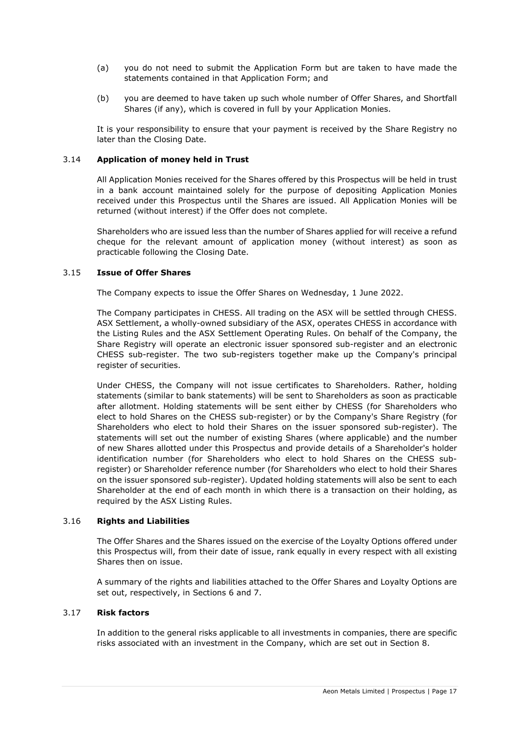- (a) you do not need to submit the Application Form but are taken to have made the statements contained in that Application Form; and
- (b) you are deemed to have taken up such whole number of Offer Shares, and Shortfall Shares (if any), which is covered in full by your Application Monies.

It is your responsibility to ensure that your payment is received by the Share Registry no later than the Closing Date.

## 3.14 **Application of money held in Trust**

All Application Monies received for the Shares offered by this Prospectus will be held in trust in a bank account maintained solely for the purpose of depositing Application Monies received under this Prospectus until the Shares are issued. All Application Monies will be returned (without interest) if the Offer does not complete.

Shareholders who are issued less than the number of Shares applied for will receive a refund cheque for the relevant amount of application money (without interest) as soon as practicable following the Closing Date.

#### <span id="page-16-0"></span>3.15 **Issue of Offer Shares**

The Company expects to issue the Offer Shares on Wednesday, 1 June 2022.

The Company participates in CHESS. All trading on the ASX will be settled through CHESS. ASX Settlement, a wholly-owned subsidiary of the ASX, operates CHESS in accordance with the Listing Rules and the ASX Settlement Operating Rules. On behalf of the Company, the Share Registry will operate an electronic issuer sponsored sub-register and an electronic CHESS sub-register. The two sub-registers together make up the Company's principal register of securities.

Under CHESS, the Company will not issue certificates to Shareholders. Rather, holding statements (similar to bank statements) will be sent to Shareholders as soon as practicable after allotment. Holding statements will be sent either by CHESS (for Shareholders who elect to hold Shares on the CHESS sub-register) or by the Company's Share Registry (for Shareholders who elect to hold their Shares on the issuer sponsored sub-register). The statements will set out the number of existing Shares (where applicable) and the number of new Shares allotted under this Prospectus and provide details of a Shareholder's holder identification number (for Shareholders who elect to hold Shares on the CHESS subregister) or Shareholder reference number (for Shareholders who elect to hold their Shares on the issuer sponsored sub-register). Updated holding statements will also be sent to each Shareholder at the end of each month in which there is a transaction on their holding, as required by the ASX Listing Rules.

#### 3.16 **Rights and Liabilities**

The Offer Shares and the Shares issued on the exercise of the Loyalty Options offered under this Prospectus will, from their date of issue, rank equally in every respect with all existing Shares then on issue.

A summary of the rights and liabilities attached to the Offer Shares and Loyalty Options are set out, respectively, in Sections [6](#page-29-0) and [7.](#page-31-0)

## 3.17 **Risk factors**

In addition to the general risks applicable to all investments in companies, there are specific risks associated with an investment in the Company, which are set out in Section [8.](#page-33-1)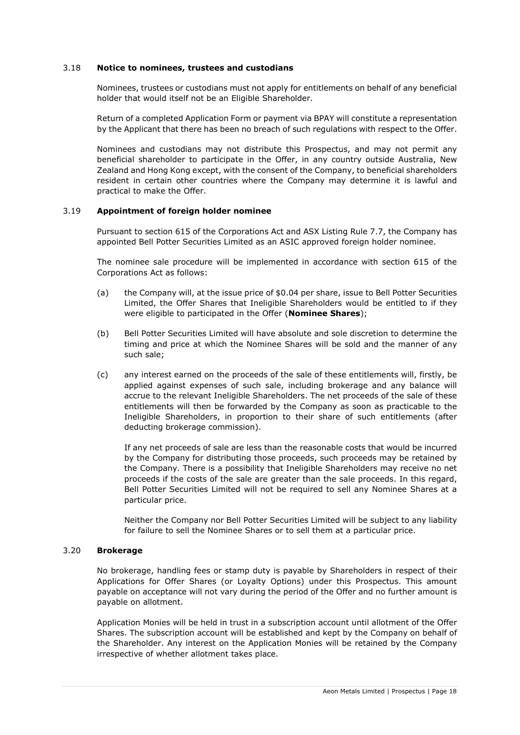#### 3.18 **Notice to nominees, trustees and custodians**

Nominees, trustees or custodians must not apply for entitlements on behalf of any beneficial holder that would itself not be an Eligible Shareholder.

Return of a completed Application Form or payment via BPAY will constitute a representation by the Applicant that there has been no breach of such regulations with respect to the Offer.

Nominees and custodians may not distribute this Prospectus, and may not permit any beneficial shareholder to participate in the Offer, in any country outside Australia, New Zealand and Hong Kong except, with the consent of the Company, to beneficial shareholders resident in certain other countries where the Company may determine it is lawful and practical to make the Offer.

## <span id="page-17-0"></span>3.19 **Appointment of foreign holder nominee**

Pursuant to section 615 of the Corporations Act and ASX Listing Rule 7.7, the Company has appointed Bell Potter Securities Limited as an ASIC approved foreign holder nominee.

The nominee sale procedure will be implemented in accordance with section 615 of the Corporations Act as follows:

- (a) the Company will, at the issue price of \$0.04 per share, issue to Bell Potter Securities Limited, the Offer Shares that Ineligible Shareholders would be entitled to if they were eligible to participated in the Offer (**Nominee Shares**);
- (b) Bell Potter Securities Limited will have absolute and sole discretion to determine the timing and price at which the Nominee Shares will be sold and the manner of any such sale;
- (c) any interest earned on the proceeds of the sale of these entitlements will, firstly, be applied against expenses of such sale, including brokerage and any balance will accrue to the relevant Ineligible Shareholders. The net proceeds of the sale of these entitlements will then be forwarded by the Company as soon as practicable to the Ineligible Shareholders, in proportion to their share of such entitlements (after deducting brokerage commission).

If any net proceeds of sale are less than the reasonable costs that would be incurred by the Company for distributing those proceeds, such proceeds may be retained by the Company. There is a possibility that Ineligible Shareholders may receive no net proceeds if the costs of the sale are greater than the sale proceeds. In this regard, Bell Potter Securities Limited will not be required to sell any Nominee Shares at a particular price.

Neither the Company nor Bell Potter Securities Limited will be subject to any liability for failure to sell the Nominee Shares or to sell them at a particular price.

## 3.20 **Brokerage**

No brokerage, handling fees or stamp duty is payable by Shareholders in respect of their Applications for Offer Shares (or Loyalty Options) under this Prospectus. This amount payable on acceptance will not vary during the period of the Offer and no further amount is payable on allotment.

Application Monies will be held in trust in a subscription account until allotment of the Offer Shares. The subscription account will be established and kept by the Company on behalf of the Shareholder. Any interest on the Application Monies will be retained by the Company irrespective of whether allotment takes place.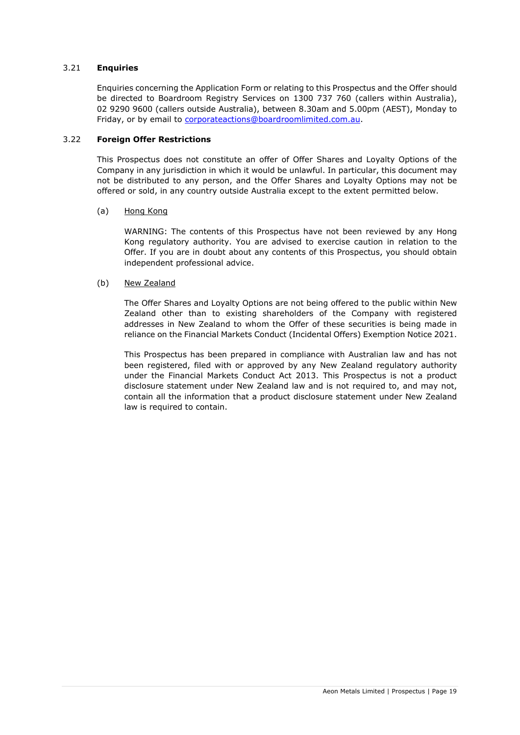## <span id="page-18-1"></span>3.21 **Enquiries**

Enquiries concerning the Application Form or relating to this Prospectus and the Offer should be directed to Boardroom Registry Services on 1300 737 760 (callers within Australia), 02 9290 9600 (callers outside Australia), between 8.30am and 5.00pm (AEST), Monday to Friday, or by email to [corporateactions@boardroomlimited.com.au.](mailto:corporateactions@boardroomlimited.com.au)

## <span id="page-18-0"></span>3.22 **Foreign Offer Restrictions**

This Prospectus does not constitute an offer of Offer Shares and Loyalty Options of the Company in any jurisdiction in which it would be unlawful. In particular, this document may not be distributed to any person, and the Offer Shares and Loyalty Options may not be offered or sold, in any country outside Australia except to the extent permitted below.

## (a) Hong Kong

WARNING: The contents of this Prospectus have not been reviewed by any Hong Kong regulatory authority. You are advised to exercise caution in relation to the Offer. If you are in doubt about any contents of this Prospectus, you should obtain independent professional advice.

## (b) New Zealand

The Offer Shares and Loyalty Options are not being offered to the public within New Zealand other than to existing shareholders of the Company with registered addresses in New Zealand to whom the Offer of these securities is being made in reliance on the Financial Markets Conduct (Incidental Offers) Exemption Notice 2021.

This Prospectus has been prepared in compliance with Australian law and has not been registered, filed with or approved by any New Zealand regulatory authority under the Financial Markets Conduct Act 2013. This Prospectus is not a product disclosure statement under New Zealand law and is not required to, and may not, contain all the information that a product disclosure statement under New Zealand law is required to contain.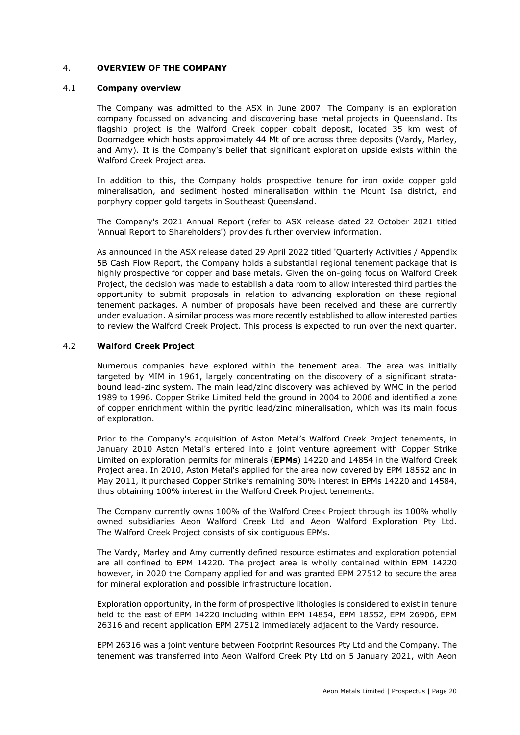## <span id="page-19-0"></span>4. **OVERVIEW OF THE COMPANY**

#### 4.1 **Company overview**

The Company was admitted to the ASX in June 2007. The Company is an exploration company focussed on advancing and discovering base metal projects in Queensland. Its flagship project is the Walford Creek copper cobalt deposit, located 35 km west of Doomadgee which hosts approximately 44 Mt of ore across three deposits (Vardy, Marley, and Amy). It is the Company's belief that significant exploration upside exists within the Walford Creek Project area.

In addition to this, the Company holds prospective tenure for iron oxide copper gold mineralisation, and sediment hosted mineralisation within the Mount Isa district, and porphyry copper gold targets in Southeast Queensland.

The Company's 2021 Annual Report (refer to ASX release dated 22 October 2021 titled 'Annual Report to Shareholders') provides further overview information.

As announced in the ASX release dated 29 April 2022 titled 'Quarterly Activities / Appendix 5B Cash Flow Report, the Company holds a substantial regional tenement package that is highly prospective for copper and base metals. Given the on-going focus on Walford Creek Project, the decision was made to establish a data room to allow interested third parties the opportunity to submit proposals in relation to advancing exploration on these regional tenement packages. A number of proposals have been received and these are currently under evaluation. A similar process was more recently established to allow interested parties to review the Walford Creek Project. This process is expected to run over the next quarter.

## 4.2 **Walford Creek Project**

Numerous companies have explored within the tenement area. The area was initially targeted by MIM in 1961, largely concentrating on the discovery of a significant stratabound lead-zinc system. The main lead/zinc discovery was achieved by WMC in the period 1989 to 1996. Copper Strike Limited held the ground in 2004 to 2006 and identified a zone of copper enrichment within the pyritic lead/zinc mineralisation, which was its main focus of exploration.

Prior to the Company's acquisition of Aston Metal's Walford Creek Project tenements, in January 2010 Aston Metal's entered into a joint venture agreement with Copper Strike Limited on exploration permits for minerals (**EPMs**) 14220 and 14854 in the Walford Creek Project area. In 2010, Aston Metal's applied for the area now covered by EPM 18552 and in May 2011, it purchased Copper Strike's remaining 30% interest in EPMs 14220 and 14584, thus obtaining 100% interest in the Walford Creek Project tenements.

The Company currently owns 100% of the Walford Creek Project through its 100% wholly owned subsidiaries Aeon Walford Creek Ltd and Aeon Walford Exploration Pty Ltd. The Walford Creek Project consists of six contiguous EPMs.

The Vardy, Marley and Amy currently defined resource estimates and exploration potential are all confined to EPM 14220. The project area is wholly contained within EPM 14220 however, in 2020 the Company applied for and was granted EPM 27512 to secure the area for mineral exploration and possible infrastructure location.

Exploration opportunity, in the form of prospective lithologies is considered to exist in tenure held to the east of EPM 14220 including within EPM 14854, EPM 18552, EPM 26906, EPM 26316 and recent application EPM 27512 immediately adjacent to the Vardy resource.

EPM 26316 was a joint venture between Footprint Resources Pty Ltd and the Company. The tenement was transferred into Aeon Walford Creek Pty Ltd on 5 January 2021, with Aeon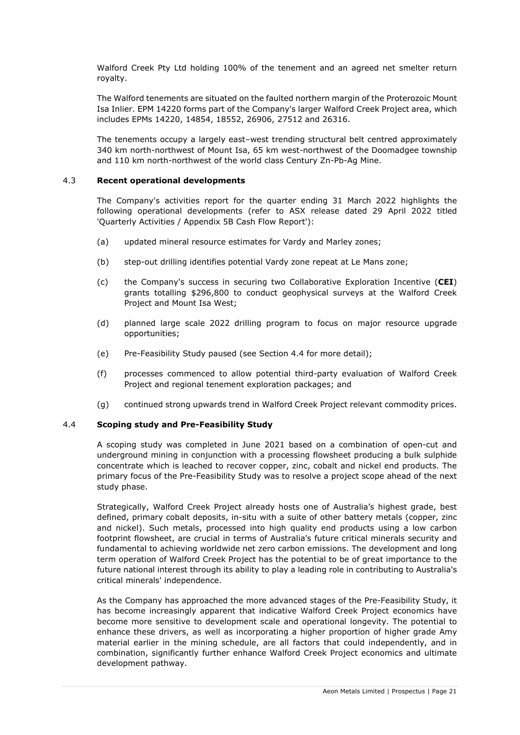Walford Creek Pty Ltd holding 100% of the tenement and an agreed net smelter return royalty.

The Walford tenements are situated on the faulted northern margin of the Proterozoic Mount Isa Inlier. EPM 14220 forms part of the Company's larger Walford Creek Project area, which includes EPMs 14220, 14854, 18552, 26906, 27512 and 26316.

The tenements occupy a largely east–west trending structural belt centred approximately 340 km north-northwest of Mount Isa, 65 km west-northwest of the Doomadgee township and 110 km north-northwest of the world class Century Zn-Pb-Ag Mine.

## 4.3 **Recent operational developments**

The Company's activities report for the quarter ending 31 March 2022 highlights the following operational developments (refer to ASX release dated 29 April 2022 titled 'Quarterly Activities / Appendix 5B Cash Flow Report'):

- (a) updated mineral resource estimates for Vardy and Marley zones;
- (b) step-out drilling identifies potential Vardy zone repeat at Le Mans zone;
- (c) the Company's success in securing two Collaborative Exploration Incentive (**CEI**) grants totalling \$296,800 to conduct geophysical surveys at the Walford Creek Project and Mount Isa West;
- (d) planned large scale 2022 drilling program to focus on major resource upgrade opportunities;
- (e) Pre-Feasibility Study paused (see Section [4.4](#page-20-0) for more detail);
- (f) processes commenced to allow potential third-party evaluation of Walford Creek Project and regional tenement exploration packages; and
- (g) continued strong upwards trend in Walford Creek Project relevant commodity prices.

#### <span id="page-20-0"></span>4.4 **Scoping study and Pre-Feasibility Study**

A scoping study was completed in June 2021 based on a combination of open-cut and underground mining in conjunction with a processing flowsheet producing a bulk sulphide concentrate which is leached to recover copper, zinc, cobalt and nickel end products. The primary focus of the Pre-Feasibility Study was to resolve a project scope ahead of the next study phase.

Strategically, Walford Creek Project already hosts one of Australia's highest grade, best defined, primary cobalt deposits, in-situ with a suite of other battery metals (copper, zinc and nickel). Such metals, processed into high quality end products using a low carbon footprint flowsheet, are crucial in terms of Australia's future critical minerals security and fundamental to achieving worldwide net zero carbon emissions. The development and long term operation of Walford Creek Project has the potential to be of great importance to the future national interest through its ability to play a leading role in contributing to Australia's critical minerals' independence.

As the Company has approached the more advanced stages of the Pre-Feasibility Study, it has become increasingly apparent that indicative Walford Creek Project economics have become more sensitive to development scale and operational longevity. The potential to enhance these drivers, as well as incorporating a higher proportion of higher grade Amy material earlier in the mining schedule, are all factors that could independently, and in combination, significantly further enhance Walford Creek Project economics and ultimate development pathway.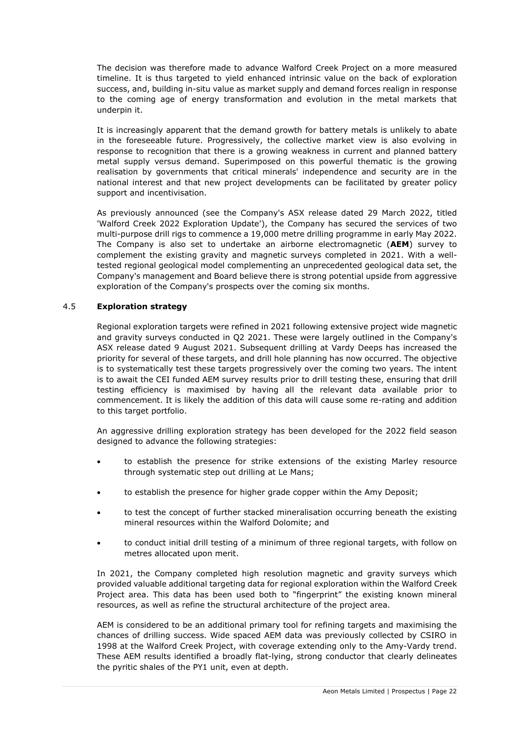The decision was therefore made to advance Walford Creek Project on a more measured timeline. It is thus targeted to yield enhanced intrinsic value on the back of exploration success, and, building in-situ value as market supply and demand forces realign in response to the coming age of energy transformation and evolution in the metal markets that underpin it.

It is increasingly apparent that the demand growth for battery metals is unlikely to abate in the foreseeable future. Progressively, the collective market view is also evolving in response to recognition that there is a growing weakness in current and planned battery metal supply versus demand. Superimposed on this powerful thematic is the growing realisation by governments that critical minerals' independence and security are in the national interest and that new project developments can be facilitated by greater policy support and incentivisation.

As previously announced (see the Company's ASX release dated 29 March 2022, titled 'Walford Creek 2022 Exploration Update'), the Company has secured the services of two multi-purpose drill rigs to commence a 19,000 metre drilling programme in early May 2022. The Company is also set to undertake an airborne electromagnetic (**AEM**) survey to complement the existing gravity and magnetic surveys completed in 2021. With a welltested regional geological model complementing an unprecedented geological data set, the Company's management and Board believe there is strong potential upside from aggressive exploration of the Company's prospects over the coming six months.

## 4.5 **Exploration strategy**

Regional exploration targets were refined in 2021 following extensive project wide magnetic and gravity surveys conducted in Q2 2021. These were largely outlined in the Company's ASX release dated 9 August 2021. Subsequent drilling at Vardy Deeps has increased the priority for several of these targets, and drill hole planning has now occurred. The objective is to systematically test these targets progressively over the coming two years. The intent is to await the CEI funded AEM survey results prior to drill testing these, ensuring that drill testing efficiency is maximised by having all the relevant data available prior to commencement. It is likely the addition of this data will cause some re-rating and addition to this target portfolio.

An aggressive drilling exploration strategy has been developed for the 2022 field season designed to advance the following strategies:

- to establish the presence for strike extensions of the existing Marley resource through systematic step out drilling at Le Mans;
- to establish the presence for higher grade copper within the Amy Deposit;
- to test the concept of further stacked mineralisation occurring beneath the existing mineral resources within the Walford Dolomite; and
- to conduct initial drill testing of a minimum of three regional targets, with follow on metres allocated upon merit.

In 2021, the Company completed high resolution magnetic and gravity surveys which provided valuable additional targeting data for regional exploration within the Walford Creek Project area. This data has been used both to "fingerprint" the existing known mineral resources, as well as refine the structural architecture of the project area.

AEM is considered to be an additional primary tool for refining targets and maximising the chances of drilling success. Wide spaced AEM data was previously collected by CSIRO in 1998 at the Walford Creek Project, with coverage extending only to the Amy-Vardy trend. These AEM results identified a broadly flat-lying, strong conductor that clearly delineates the pyritic shales of the PY1 unit, even at depth.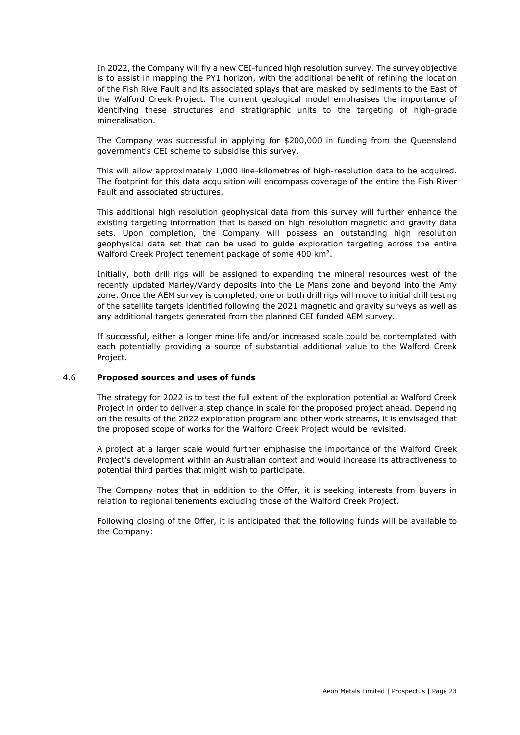In 2022, the Company will fly a new CEI-funded high resolution survey. The survey objective is to assist in mapping the PY1 horizon, with the additional benefit of refining the location of the Fish Rive Fault and its associated splays that are masked by sediments to the East of the Walford Creek Project. The current geological model emphasises the importance of identifying these structures and stratigraphic units to the targeting of high-grade mineralisation.

The Company was successful in applying for \$200,000 in funding from the Queensland government's CEI scheme to subsidise this survey.

This will allow approximately 1,000 line-kilometres of high-resolution data to be acquired. The footprint for this data acquisition will encompass coverage of the entire the Fish River Fault and associated structures.

This additional high resolution geophysical data from this survey will further enhance the existing targeting information that is based on high resolution magnetic and gravity data sets. Upon completion, the Company will possess an outstanding high resolution geophysical data set that can be used to guide exploration targeting across the entire Walford Creek Project tenement package of some 400 km<sup>2</sup>.

Initially, both drill rigs will be assigned to expanding the mineral resources west of the recently updated Marley/Vardy deposits into the Le Mans zone and beyond into the Amy zone. Once the AEM survey is completed, one or both drill rigs will move to initial drill testing of the satellite targets identified following the 2021 magnetic and gravity surveys as well as any additional targets generated from the planned CEI funded AEM survey.

If successful, either a longer mine life and/or increased scale could be contemplated with each potentially providing a source of substantial additional value to the Walford Creek Project.

#### <span id="page-22-0"></span>4.6 **Proposed sources and uses of funds**

The strategy for 2022 is to test the full extent of the exploration potential at Walford Creek Project in order to deliver a step change in scale for the proposed project ahead. Depending on the results of the 2022 exploration program and other work streams, it is envisaged that the proposed scope of works for the Walford Creek Project would be revisited.

A project at a larger scale would further emphasise the importance of the Walford Creek Project's development within an Australian context and would increase its attractiveness to potential third parties that might wish to participate.

The Company notes that in addition to the Offer, it is seeking interests from buyers in relation to regional tenements excluding those of the Walford Creek Project.

Following closing of the Offer, it is anticipated that the following funds will be available to the Company: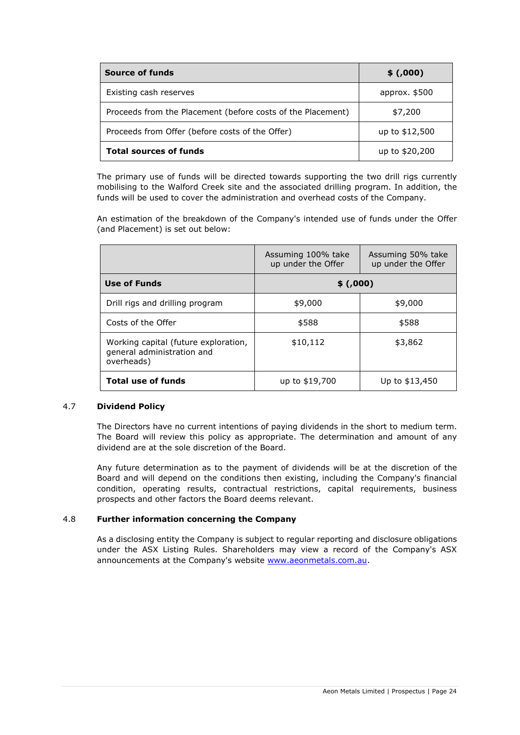| <b>Source of funds</b>                                      | \$(.000)       |
|-------------------------------------------------------------|----------------|
| Existing cash reserves                                      | approx. $$500$ |
| Proceeds from the Placement (before costs of the Placement) | \$7,200        |
| Proceeds from Offer (before costs of the Offer)             | up to \$12,500 |
| <b>Total sources of funds</b>                               | up to \$20,200 |

The primary use of funds will be directed towards supporting the two drill rigs currently mobilising to the Walford Creek site and the associated drilling program. In addition, the funds will be used to cover the administration and overhead costs of the Company.

An estimation of the breakdown of the Company's intended use of funds under the Offer (and Placement) is set out below:

|                                                                                  | Assuming 100% take<br>up under the Offer | Assuming 50% take<br>up under the Offer |  |
|----------------------------------------------------------------------------------|------------------------------------------|-----------------------------------------|--|
| Use of Funds                                                                     | \$(.000)                                 |                                         |  |
| Drill rigs and drilling program                                                  | \$9,000                                  | \$9,000                                 |  |
| Costs of the Offer                                                               | \$588                                    | \$588                                   |  |
| Working capital (future exploration,<br>general administration and<br>overheads) | \$10,112                                 | \$3,862                                 |  |
| <b>Total use of funds</b>                                                        | up to \$19,700                           | Up to \$13,450                          |  |

## 4.7 **Dividend Policy**

The Directors have no current intentions of paying dividends in the short to medium term. The Board will review this policy as appropriate. The determination and amount of any dividend are at the sole discretion of the Board.

Any future determination as to the payment of dividends will be at the discretion of the Board and will depend on the conditions then existing, including the Company's financial condition, operating results, contractual restrictions, capital requirements, business prospects and other factors the Board deems relevant.

## 4.8 **Further information concerning the Company**

As a disclosing entity the Company is subject to regular reporting and disclosure obligations under the ASX Listing Rules. Shareholders may view a record of the Company's ASX announcements at the Company's website [www.aeonmetals.com.au.](http://www.aeonmetals.com.au/)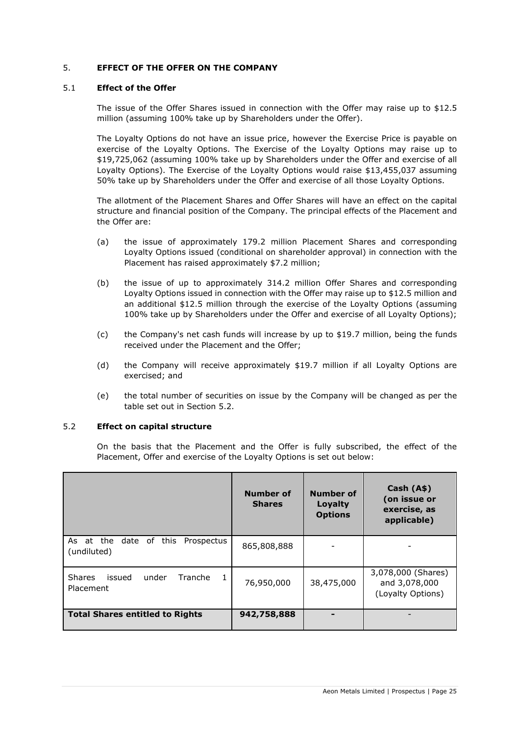## <span id="page-24-0"></span>5. **EFFECT OF THE OFFER ON THE COMPANY**

#### 5.1 **Effect of the Offer**

The issue of the Offer Shares issued in connection with the Offer may raise up to \$12.5 million (assuming 100% take up by Shareholders under the Offer).

The Loyalty Options do not have an issue price, however the Exercise Price is payable on exercise of the Loyalty Options. The Exercise of the Loyalty Options may raise up to \$19,725,062 (assuming 100% take up by Shareholders under the Offer and exercise of all Loyalty Options). The Exercise of the Loyalty Options would raise \$13,455,037 assuming 50% take up by Shareholders under the Offer and exercise of all those Loyalty Options.

The allotment of the Placement Shares and Offer Shares will have an effect on the capital structure and financial position of the Company. The principal effects of the Placement and the Offer are:

- (a) the issue of approximately 179.2 million Placement Shares and corresponding Loyalty Options issued (conditional on shareholder approval) in connection with the Placement has raised approximately \$7.2 million;
- (b) the issue of up to approximately 314.2 million Offer Shares and corresponding Loyalty Options issued in connection with the Offer may raise up to \$12.5 million and an additional \$12.5 million through the exercise of the Loyalty Options (assuming 100% take up by Shareholders under the Offer and exercise of all Loyalty Options);
- (c) the Company's net cash funds will increase by up to \$19.7 million, being the funds received under the Placement and the Offer;
- (d) the Company will receive approximately \$19.7 million if all Loyalty Options are exercised; and
- (e) the total number of securities on issue by the Company will be changed as per the table set out in Section [5.2.](#page-24-1)

## <span id="page-24-1"></span>5.2 **Effect on capital structure**

On the basis that the Placement and the Offer is fully subscribed, the effect of the Placement, Offer and exercise of the Loyalty Options is set out below:

|                                                                | <b>Number of</b><br><b>Shares</b> | <b>Number of</b><br>Loyalty<br><b>Options</b> | Cash (A\$)<br>(on issue or<br>exercise, as<br>applicable) |
|----------------------------------------------------------------|-----------------------------------|-----------------------------------------------|-----------------------------------------------------------|
| date of this<br>Prospectus<br>As at the<br>(undiluted)         | 865,808,888                       |                                               |                                                           |
| <b>Shares</b><br>issued<br>under<br>Tranche<br>-1<br>Placement | 76,950,000                        | 38,475,000                                    | 3,078,000 (Shares)<br>and 3,078,000<br>(Loyalty Options)  |
| <b>Total Shares entitled to Rights</b>                         | 942,758,888                       |                                               |                                                           |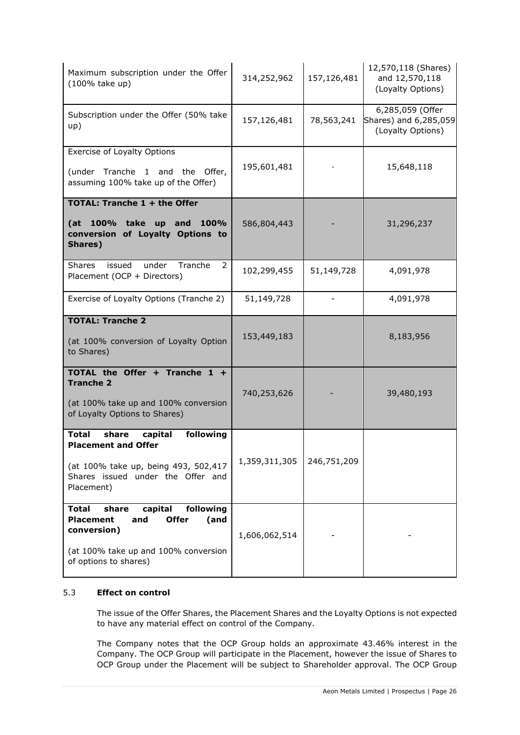| Maximum subscription under the Offer<br>(100% take up)                                                                                                                           | 314,252,962   | 157,126,481 | 12,570,118 (Shares)<br>and 12,570,118<br>(Loyalty Options)     |
|----------------------------------------------------------------------------------------------------------------------------------------------------------------------------------|---------------|-------------|----------------------------------------------------------------|
| Subscription under the Offer (50% take<br>up)                                                                                                                                    | 157,126,481   | 78,563,241  | 6,285,059 (Offer<br>Shares) and 6,285,059<br>(Loyalty Options) |
| <b>Exercise of Loyalty Options</b><br>(under Tranche 1 and the<br>Offer,<br>assuming 100% take up of the Offer)                                                                  | 195,601,481   |             | 15,648,118                                                     |
| TOTAL: Tranche 1 + the Offer<br>(at 100% take up and<br>100%<br>conversion of Loyalty Options to<br>Shares)                                                                      | 586,804,443   |             | 31,296,237                                                     |
| under<br>Tranche<br><b>Shares</b><br>issued<br>2<br>Placement (OCP + Directors)                                                                                                  | 102,299,455   | 51,149,728  | 4,091,978                                                      |
| Exercise of Loyalty Options (Tranche 2)                                                                                                                                          | 51,149,728    |             | 4,091,978                                                      |
| <b>TOTAL: Tranche 2</b><br>(at 100% conversion of Loyalty Option<br>to Shares)                                                                                                   | 153,449,183   |             | 8,183,956                                                      |
| TOTAL the Offer + Tranche 1 +<br><b>Tranche 2</b><br>(at 100% take up and 100% conversion<br>of Loyalty Options to Shares)                                                       | 740,253,626   |             | 39,480,193                                                     |
| following<br><b>Total</b><br>share<br>capital<br><b>Placement and Offer</b><br>(at 100% take up, being 493, 502,417<br>Shares issued under the Offer and<br>Placement)           | 1,359,311,305 | 246,751,209 |                                                                |
| following<br><b>Total</b><br>share<br>capital<br><b>Placement</b><br><b>Offer</b><br>(and<br>and<br>conversion)<br>(at 100% take up and 100% conversion<br>of options to shares) | 1,606,062,514 |             |                                                                |

# 5.3 **Effect on control**

The issue of the Offer Shares, the Placement Shares and the Loyalty Options is not expected to have any material effect on control of the Company.

The Company notes that the OCP Group holds an approximate 43.46% interest in the Company. The OCP Group will participate in the Placement, however the issue of Shares to OCP Group under the Placement will be subject to Shareholder approval. The OCP Group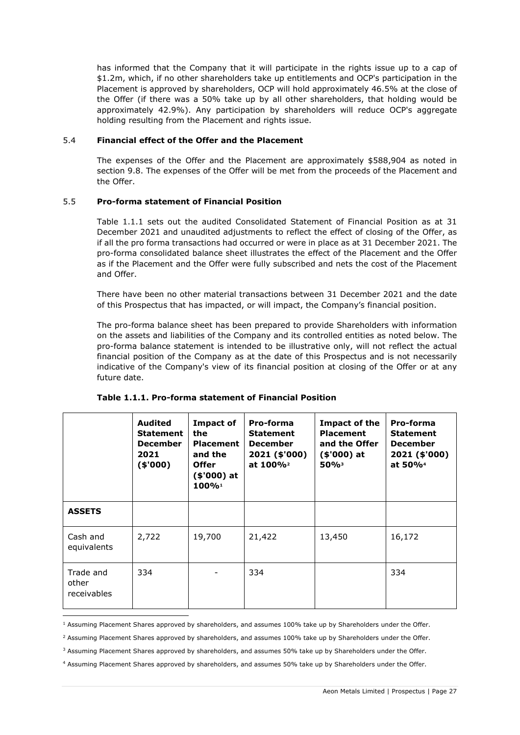has informed that the Company that it will participate in the rights issue up to a cap of \$1.2m, which, if no other shareholders take up entitlements and OCP's participation in the Placement is approved by shareholders, OCP will hold approximately 46.5% at the close of the Offer (if there was a 50% take up by all other shareholders, that holding would be approximately 42.9%). Any participation by shareholders will reduce OCP's aggregate holding resulting from the Placement and rights issue.

## 5.4 **Financial effect of the Offer and the Placement**

The expenses of the Offer and the Placement are approximately \$588,904 as noted in section [9.8.](#page-42-0) The expenses of the Offer will be met from the proceeds of the Placement and the Offer.

## 5.5 **Pro-forma statement of Financial Position**

Table 1.1.1 sets out the audited Consolidated Statement of Financial Position as at 31 December 2021 and unaudited adjustments to reflect the effect of closing of the Offer, as if all the pro forma transactions had occurred or were in place as at 31 December 2021. The pro-forma consolidated balance sheet illustrates the effect of the Placement and the Offer as if the Placement and the Offer were fully subscribed and nets the cost of the Placement and Offer.

There have been no other material transactions between 31 December 2021 and the date of this Prospectus that has impacted, or will impact, the Company's financial position.

The pro-forma balance sheet has been prepared to provide Shareholders with information on the assets and liabilities of the Company and its controlled entities as noted below. The pro-forma balance statement is intended to be illustrative only, will not reflect the actual financial position of the Company as at the date of this Prospectus and is not necessarily indicative of the Company's view of its financial position at closing of the Offer or at any future date.

|                                   | <b>Audited</b><br><b>Statement</b><br><b>December</b><br>2021<br>(\$000) | <b>Impact of</b><br>the<br><b>Placement</b><br>and the<br><b>Offer</b><br>$($'000)$ at<br>100% | Pro-forma<br><b>Statement</b><br><b>December</b><br>2021 (\$'000)<br>at 100% <sup>2</sup> | Impact of the<br><b>Placement</b><br>and the Offer<br>$($'000)$ at<br>$50\%$ <sup>3</sup> | Pro-forma<br><b>Statement</b><br><b>December</b><br>2021 (\$'000)<br>at 50% <sup>4</sup> |
|-----------------------------------|--------------------------------------------------------------------------|------------------------------------------------------------------------------------------------|-------------------------------------------------------------------------------------------|-------------------------------------------------------------------------------------------|------------------------------------------------------------------------------------------|
| <b>ASSETS</b>                     |                                                                          |                                                                                                |                                                                                           |                                                                                           |                                                                                          |
| Cash and<br>equivalents           | 2,722                                                                    | 19,700                                                                                         | 21,422                                                                                    | 13,450                                                                                    | 16,172                                                                                   |
| Trade and<br>other<br>receivables | 334                                                                      |                                                                                                | 334                                                                                       |                                                                                           | 334                                                                                      |

#### **Table 1.1.1. Pro-forma statement of Financial Position**

<sup>&</sup>lt;sup>1</sup> Assuming Placement Shares approved by shareholders, and assumes 100% take up by Shareholders under the Offer.

<sup>&</sup>lt;sup>2</sup> Assuming Placement Shares approved by shareholders, and assumes 100% take up by Shareholders under the Offer.

<sup>&</sup>lt;sup>3</sup> Assuming Placement Shares approved by shareholders, and assumes 50% take up by Shareholders under the Offer.

<sup>4</sup> Assuming Placement Shares approved by shareholders, and assumes 50% take up by Shareholders under the Offer.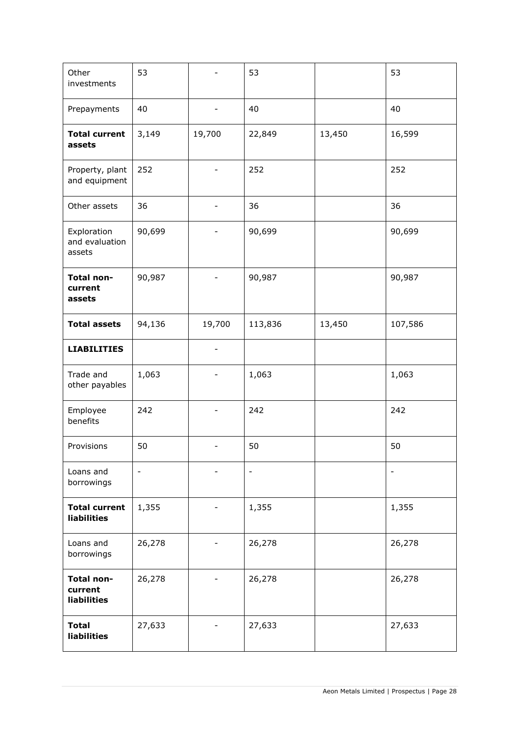| Other<br>investments                        | 53                       |                          | 53                       |        | 53                       |
|---------------------------------------------|--------------------------|--------------------------|--------------------------|--------|--------------------------|
| Prepayments                                 | 40                       | $\overline{\phantom{0}}$ | 40                       |        | 40                       |
| <b>Total current</b><br>assets              | 3,149                    | 19,700                   | 22,849                   | 13,450 | 16,599                   |
| Property, plant<br>and equipment            | 252                      | -                        | 252                      |        | 252                      |
| Other assets                                | 36                       | -                        | 36                       |        | 36                       |
| Exploration<br>and evaluation<br>assets     | 90,699                   |                          | 90,699                   |        | 90,699                   |
| Total non-<br>current<br>assets             | 90,987                   |                          | 90,987                   |        | 90,987                   |
| <b>Total assets</b>                         | 94,136                   | 19,700                   | 113,836                  | 13,450 | 107,586                  |
| <b>LIABILITIES</b>                          |                          |                          |                          |        |                          |
| Trade and<br>other payables                 | 1,063                    |                          | 1,063                    |        | 1,063                    |
| Employee<br>benefits                        | 242                      | $\overline{\phantom{0}}$ | 242                      |        | 242                      |
| Provisions                                  | 50                       |                          | 50                       |        | 50                       |
| Loans and<br>borrowings                     | $\overline{\phantom{a}}$ |                          | $\overline{\phantom{a}}$ |        | $\overline{\phantom{a}}$ |
| <b>Total current</b><br>liabilities         | 1,355                    |                          | 1,355                    |        | 1,355                    |
| Loans and<br>borrowings                     | 26,278                   |                          | 26,278                   |        | 26,278                   |
| Total non-<br>current<br><b>liabilities</b> | 26,278                   |                          | 26,278                   |        | 26,278                   |
| <b>Total</b><br>liabilities                 | 27,633                   |                          | 27,633                   |        | 27,633                   |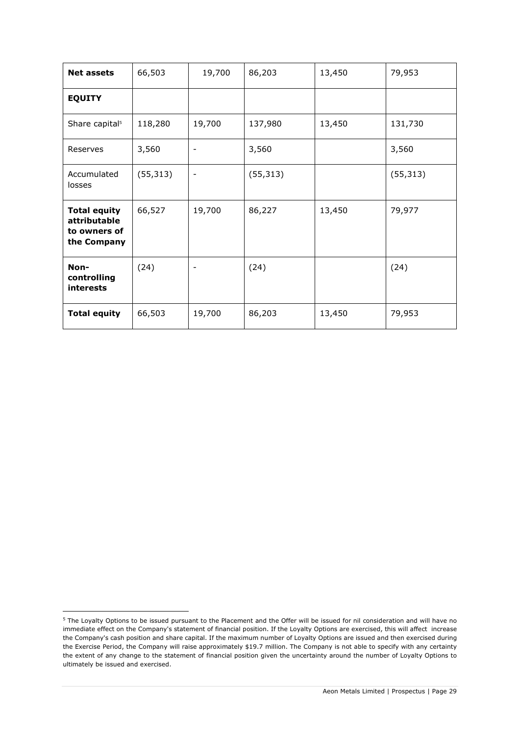| <b>Net assets</b>                                                  | 66,503    | 19,700                   | 86,203    | 13,450 | 79,953    |
|--------------------------------------------------------------------|-----------|--------------------------|-----------|--------|-----------|
| <b>EQUITY</b>                                                      |           |                          |           |        |           |
| Share capital <sup>5</sup>                                         | 118,280   | 19,700                   | 137,980   | 13,450 | 131,730   |
| Reserves                                                           | 3,560     |                          | 3,560     |        | 3,560     |
| Accumulated<br>losses                                              | (55, 313) | $\overline{\phantom{a}}$ | (55, 313) |        | (55, 313) |
| <b>Total equity</b><br>attributable<br>to owners of<br>the Company | 66,527    | 19,700                   | 86,227    | 13,450 | 79,977    |
| Non-<br>controlling<br>interests                                   | (24)      |                          | (24)      |        | (24)      |
| <b>Total equity</b>                                                | 66,503    | 19,700                   | 86,203    | 13,450 | 79,953    |

<sup>&</sup>lt;sup>5</sup> The Loyalty Options to be issued pursuant to the Placement and the Offer will be issued for nil consideration and will have no immediate effect on the Company's statement of financial position. If the Loyalty Options are exercised, this will affect increase the Company's cash position and share capital. If the maximum number of Loyalty Options are issued and then exercised during the Exercise Period, the Company will raise approximately \$19.7 million. The Company is not able to specify with any certainty the extent of any change to the statement of financial position given the uncertainty around the number of Loyalty Options to ultimately be issued and exercised.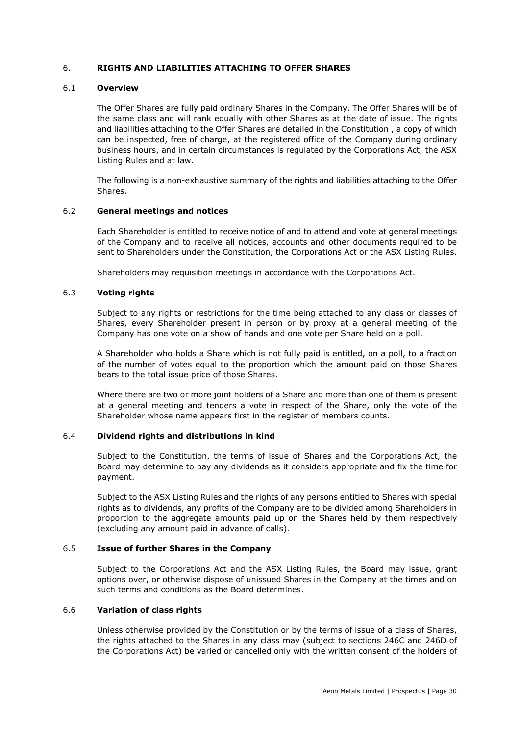## <span id="page-29-0"></span>6. **RIGHTS AND LIABILITIES ATTACHING TO OFFER SHARES**

#### 6.1 **Overview**

The Offer Shares are fully paid ordinary Shares in the Company. The Offer Shares will be of the same class and will rank equally with other Shares as at the date of issue. The rights and liabilities attaching to the Offer Shares are detailed in the Constitution , a copy of which can be inspected, free of charge, at the registered office of the Company during ordinary business hours, and in certain circumstances is regulated by the Corporations Act, the ASX Listing Rules and at law.

The following is a non-exhaustive summary of the rights and liabilities attaching to the Offer Shares.

#### 6.2 **General meetings and notices**

Each Shareholder is entitled to receive notice of and to attend and vote at general meetings of the Company and to receive all notices, accounts and other documents required to be sent to Shareholders under the Constitution, the Corporations Act or the ASX Listing Rules.

Shareholders may requisition meetings in accordance with the Corporations Act.

#### 6.3 **Voting rights**

Subject to any rights or restrictions for the time being attached to any class or classes of Shares, every Shareholder present in person or by proxy at a general meeting of the Company has one vote on a show of hands and one vote per Share held on a poll.

A Shareholder who holds a Share which is not fully paid is entitled, on a poll, to a fraction of the number of votes equal to the proportion which the amount paid on those Shares bears to the total issue price of those Shares.

Where there are two or more joint holders of a Share and more than one of them is present at a general meeting and tenders a vote in respect of the Share, only the vote of the Shareholder whose name appears first in the register of members counts.

#### 6.4 **Dividend rights and distributions in kind**

Subject to the Constitution, the terms of issue of Shares and the Corporations Act, the Board may determine to pay any dividends as it considers appropriate and fix the time for payment.

Subject to the ASX Listing Rules and the rights of any persons entitled to Shares with special rights as to dividends, any profits of the Company are to be divided among Shareholders in proportion to the aggregate amounts paid up on the Shares held by them respectively (excluding any amount paid in advance of calls).

## 6.5 **Issue of further Shares in the Company**

Subject to the Corporations Act and the ASX Listing Rules, the Board may issue, grant options over, or otherwise dispose of unissued Shares in the Company at the times and on such terms and conditions as the Board determines.

#### 6.6 **Variation of class rights**

Unless otherwise provided by the Constitution or by the terms of issue of a class of Shares, the rights attached to the Shares in any class may (subject to sections 246C and 246D of the Corporations Act) be varied or cancelled only with the written consent of the holders of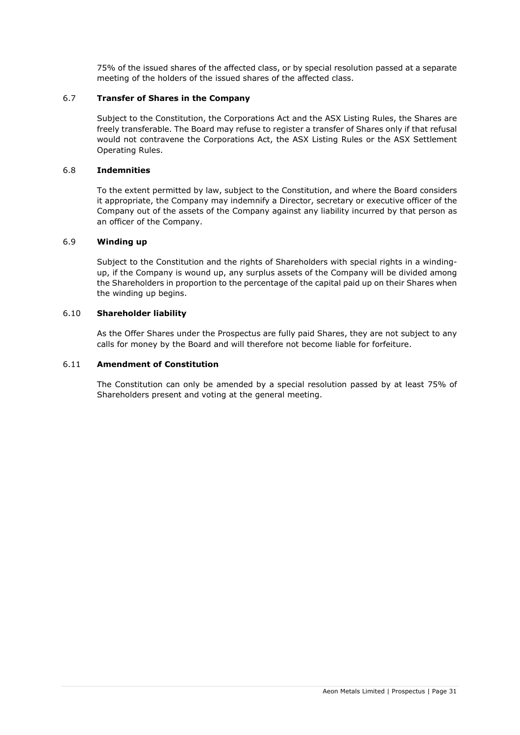75% of the issued shares of the affected class, or by special resolution passed at a separate meeting of the holders of the issued shares of the affected class.

## 6.7 **Transfer of Shares in the Company**

Subject to the Constitution, the Corporations Act and the ASX Listing Rules, the Shares are freely transferable. The Board may refuse to register a transfer of Shares only if that refusal would not contravene the Corporations Act, the ASX Listing Rules or the ASX Settlement Operating Rules.

## 6.8 **Indemnities**

To the extent permitted by law, subject to the Constitution, and where the Board considers it appropriate, the Company may indemnify a Director, secretary or executive officer of the Company out of the assets of the Company against any liability incurred by that person as an officer of the Company.

#### 6.9 **Winding up**

Subject to the Constitution and the rights of Shareholders with special rights in a windingup, if the Company is wound up, any surplus assets of the Company will be divided among the Shareholders in proportion to the percentage of the capital paid up on their Shares when the winding up begins.

#### 6.10 **Shareholder liability**

As the Offer Shares under the Prospectus are fully paid Shares, they are not subject to any calls for money by the Board and will therefore not become liable for forfeiture.

## 6.11 **Amendment of Constitution**

The Constitution can only be amended by a special resolution passed by at least 75% of Shareholders present and voting at the general meeting.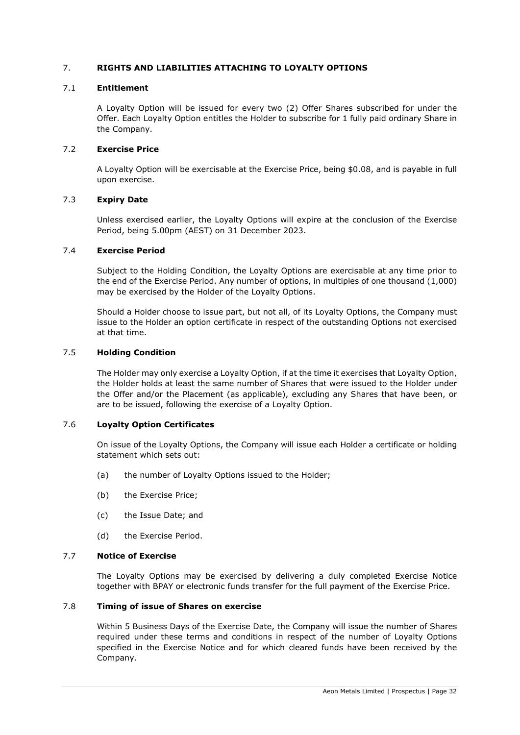## <span id="page-31-0"></span>7. **RIGHTS AND LIABILITIES ATTACHING TO LOYALTY OPTIONS**

#### 7.1 **Entitlement**

A Loyalty Option will be issued for every two (2) Offer Shares subscribed for under the Offer. Each Loyalty Option entitles the Holder to subscribe for 1 fully paid ordinary Share in the Company.

## 7.2 **Exercise Price**

A Loyalty Option will be exercisable at the Exercise Price, being \$0.08, and is payable in full upon exercise.

## 7.3 **Expiry Date**

Unless exercised earlier, the Loyalty Options will expire at the conclusion of the Exercise Period, being 5.00pm (AEST) on 31 December 2023.

#### 7.4 **Exercise Period**

Subject to the Holding Condition, the Loyalty Options are exercisable at any time prior to the end of the Exercise Period. Any number of options, in multiples of one thousand (1,000) may be exercised by the Holder of the Loyalty Options.

Should a Holder choose to issue part, but not all, of its Loyalty Options, the Company must issue to the Holder an option certificate in respect of the outstanding Options not exercised at that time.

#### <span id="page-31-1"></span>7.5 **Holding Condition**

The Holder may only exercise a Loyalty Option, if at the time it exercises that Loyalty Option, the Holder holds at least the same number of Shares that were issued to the Holder under the Offer and/or the Placement (as applicable), excluding any Shares that have been, or are to be issued, following the exercise of a Loyalty Option.

#### 7.6 **Loyalty Option Certificates**

On issue of the Loyalty Options, the Company will issue each Holder a certificate or holding statement which sets out:

- (a) the number of Loyalty Options issued to the Holder;
- (b) the Exercise Price;
- (c) the Issue Date; and
- (d) the Exercise Period.

#### 7.7 **Notice of Exercise**

The Loyalty Options may be exercised by delivering a duly completed Exercise Notice together with BPAY or electronic funds transfer for the full payment of the Exercise Price.

## 7.8 **Timing of issue of Shares on exercise**

Within 5 Business Days of the Exercise Date, the Company will issue the number of Shares required under these terms and conditions in respect of the number of Loyalty Options specified in the Exercise Notice and for which cleared funds have been received by the Company.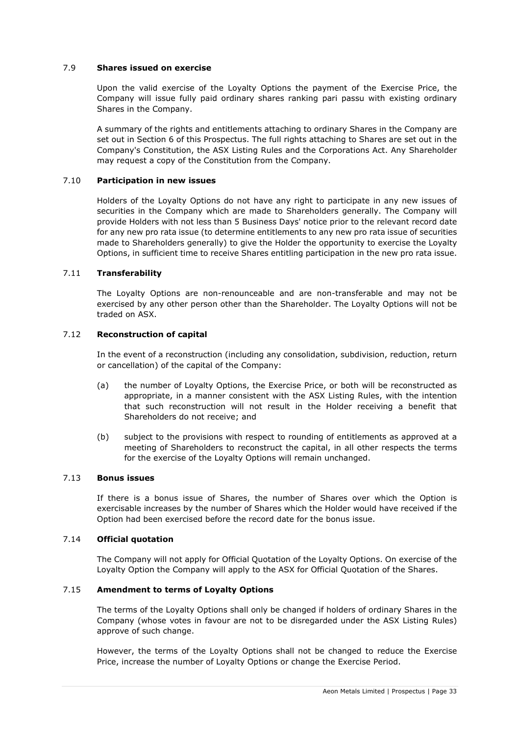## 7.9 **Shares issued on exercise**

Upon the valid exercise of the Loyalty Options the payment of the Exercise Price, the Company will issue fully paid ordinary shares ranking pari passu with existing ordinary Shares in the Company.

A summary of the rights and entitlements attaching to ordinary Shares in the Company are set out in Section [6](#page-29-0) of this Prospectus. The full rights attaching to Shares are set out in the Company's Constitution, the ASX Listing Rules and the Corporations Act. Any Shareholder may request a copy of the Constitution from the Company.

## 7.10 **Participation in new issues**

Holders of the Loyalty Options do not have any right to participate in any new issues of securities in the Company which are made to Shareholders generally. The Company will provide Holders with not less than 5 Business Days' notice prior to the relevant record date for any new pro rata issue (to determine entitlements to any new pro rata issue of securities made to Shareholders generally) to give the Holder the opportunity to exercise the Loyalty Options, in sufficient time to receive Shares entitling participation in the new pro rata issue.

## 7.11 **Transferability**

The Loyalty Options are non-renounceable and are non-transferable and may not be exercised by any other person other than the Shareholder. The Loyalty Options will not be traded on ASX.

## 7.12 **Reconstruction of capital**

In the event of a reconstruction (including any consolidation, subdivision, reduction, return or cancellation) of the capital of the Company:

- (a) the number of Loyalty Options, the Exercise Price, or both will be reconstructed as appropriate, in a manner consistent with the ASX Listing Rules, with the intention that such reconstruction will not result in the Holder receiving a benefit that Shareholders do not receive; and
- (b) subject to the provisions with respect to rounding of entitlements as approved at a meeting of Shareholders to reconstruct the capital, in all other respects the terms for the exercise of the Loyalty Options will remain unchanged.

## 7.13 **Bonus issues**

If there is a bonus issue of Shares, the number of Shares over which the Option is exercisable increases by the number of Shares which the Holder would have received if the Option had been exercised before the record date for the bonus issue.

#### 7.14 **Official quotation**

The Company will not apply for Official Quotation of the Loyalty Options. On exercise of the Loyalty Option the Company will apply to the ASX for Official Quotation of the Shares.

## 7.15 **Amendment to terms of Loyalty Options**

The terms of the Loyalty Options shall only be changed if holders of ordinary Shares in the Company (whose votes in favour are not to be disregarded under the ASX Listing Rules) approve of such change.

However, the terms of the Loyalty Options shall not be changed to reduce the Exercise Price, increase the number of Loyalty Options or change the Exercise Period.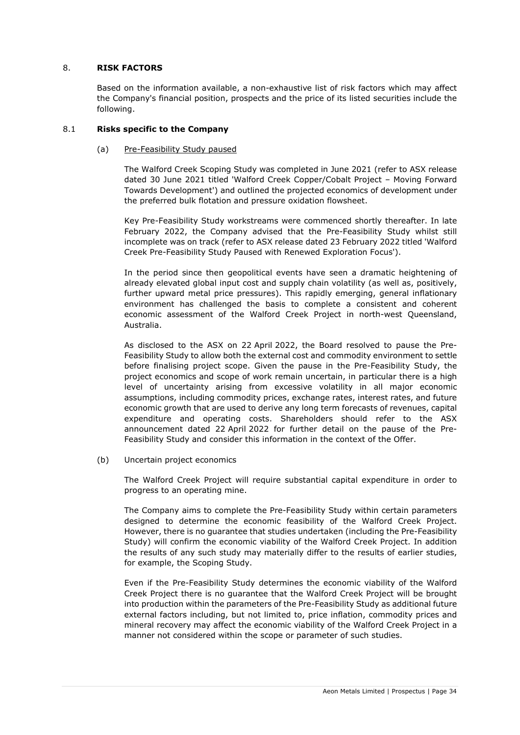## <span id="page-33-1"></span>8. **RISK FACTORS**

Based on the information available, a non-exhaustive list of risk factors which may affect the Company's financial position, prospects and the price of its listed securities include the following.

## <span id="page-33-2"></span><span id="page-33-0"></span>8.1 **Risks specific to the Company**

## (a) Pre-Feasibility Study paused

The Walford Creek Scoping Study was completed in June 2021 (refer to ASX release dated 30 June 2021 titled 'Walford Creek Copper/Cobalt Project – Moving Forward Towards Development') and outlined the projected economics of development under the preferred bulk flotation and pressure oxidation flowsheet.

Key Pre-Feasibility Study workstreams were commenced shortly thereafter. In late February 2022, the Company advised that the Pre-Feasibility Study whilst still incomplete was on track (refer to ASX release dated 23 February 2022 titled 'Walford Creek Pre-Feasibility Study Paused with Renewed Exploration Focus').

In the period since then geopolitical events have seen a dramatic heightening of already elevated global input cost and supply chain volatility (as well as, positively, further upward metal price pressures). This rapidly emerging, general inflationary environment has challenged the basis to complete a consistent and coherent economic assessment of the Walford Creek Project in north-west Queensland, Australia.

As disclosed to the ASX on 22 April 2022, the Board resolved to pause the Pre-Feasibility Study to allow both the external cost and commodity environment to settle before finalising project scope. Given the pause in the Pre-Feasibility Study, the project economics and scope of work remain uncertain, in particular there is a high level of uncertainty arising from excessive volatility in all major economic assumptions, including commodity prices, exchange rates, interest rates, and future economic growth that are used to derive any long term forecasts of revenues, capital expenditure and operating costs. Shareholders should refer to the ASX announcement dated 22 April 2022 for further detail on the pause of the Pre-Feasibility Study and consider this information in the context of the Offer.

(b) Uncertain project economics

The Walford Creek Project will require substantial capital expenditure in order to progress to an operating mine.

The Company aims to complete the Pre-Feasibility Study within certain parameters designed to determine the economic feasibility of the Walford Creek Project. However, there is no guarantee that studies undertaken (including the Pre-Feasibility Study) will confirm the economic viability of the Walford Creek Project. In addition the results of any such study may materially differ to the results of earlier studies, for example, the Scoping Study.

Even if the Pre-Feasibility Study determines the economic viability of the Walford Creek Project there is no guarantee that the Walford Creek Project will be brought into production within the parameters of the Pre-Feasibility Study as additional future external factors including, but not limited to, price inflation, commodity prices and mineral recovery may affect the economic viability of the Walford Creek Project in a manner not considered within the scope or parameter of such studies.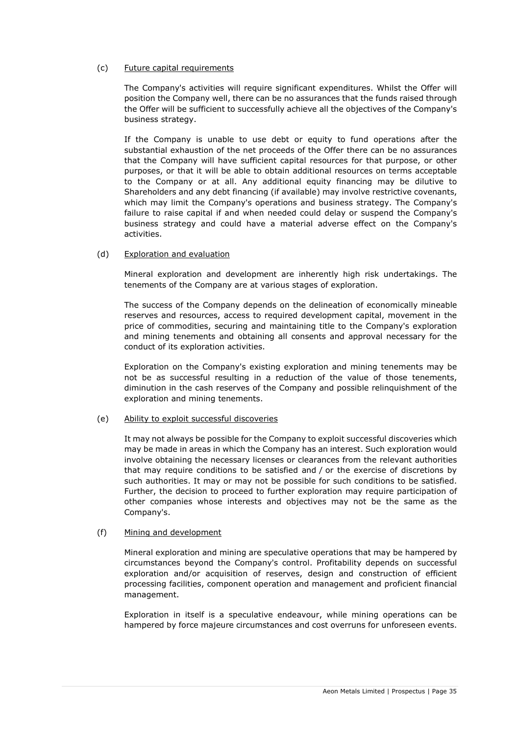## (c) Future capital requirements

The Company's activities will require significant expenditures. Whilst the Offer will position the Company well, there can be no assurances that the funds raised through the Offer will be sufficient to successfully achieve all the objectives of the Company's business strategy.

If the Company is unable to use debt or equity to fund operations after the substantial exhaustion of the net proceeds of the Offer there can be no assurances that the Company will have sufficient capital resources for that purpose, or other purposes, or that it will be able to obtain additional resources on terms acceptable to the Company or at all. Any additional equity financing may be dilutive to Shareholders and any debt financing (if available) may involve restrictive covenants, which may limit the Company's operations and business strategy. The Company's failure to raise capital if and when needed could delay or suspend the Company's business strategy and could have a material adverse effect on the Company's activities.

## (d) Exploration and evaluation

Mineral exploration and development are inherently high risk undertakings. The tenements of the Company are at various stages of exploration.

The success of the Company depends on the delineation of economically mineable reserves and resources, access to required development capital, movement in the price of commodities, securing and maintaining title to the Company's exploration and mining tenements and obtaining all consents and approval necessary for the conduct of its exploration activities.

Exploration on the Company's existing exploration and mining tenements may be not be as successful resulting in a reduction of the value of those tenements, diminution in the cash reserves of the Company and possible relinquishment of the exploration and mining tenements.

#### (e) Ability to exploit successful discoveries

It may not always be possible for the Company to exploit successful discoveries which may be made in areas in which the Company has an interest. Such exploration would involve obtaining the necessary licenses or clearances from the relevant authorities that may require conditions to be satisfied and / or the exercise of discretions by such authorities. It may or may not be possible for such conditions to be satisfied. Further, the decision to proceed to further exploration may require participation of other companies whose interests and objectives may not be the same as the Company's.

#### (f) Mining and development

Mineral exploration and mining are speculative operations that may be hampered by circumstances beyond the Company's control. Profitability depends on successful exploration and/or acquisition of reserves, design and construction of efficient processing facilities, component operation and management and proficient financial management.

Exploration in itself is a speculative endeavour, while mining operations can be hampered by force majeure circumstances and cost overruns for unforeseen events.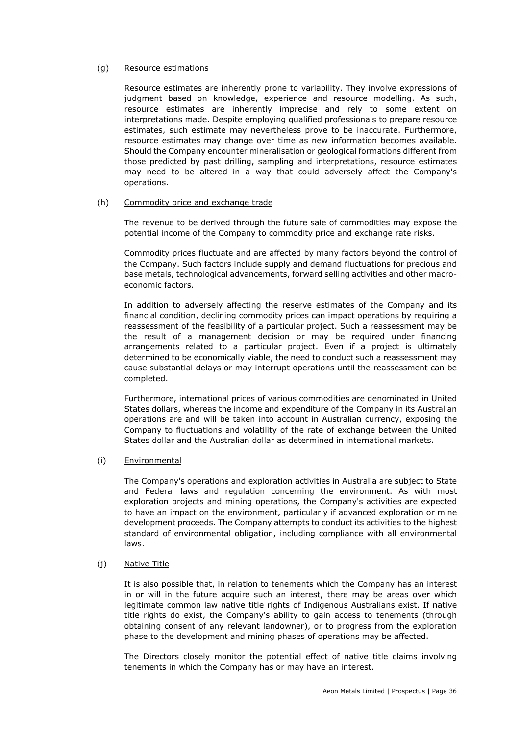## (g) Resource estimations

Resource estimates are inherently prone to variability. They involve expressions of judgment based on knowledge, experience and resource modelling. As such, resource estimates are inherently imprecise and rely to some extent on interpretations made. Despite employing qualified professionals to prepare resource estimates, such estimate may nevertheless prove to be inaccurate. Furthermore, resource estimates may change over time as new information becomes available. Should the Company encounter mineralisation or geological formations different from those predicted by past drilling, sampling and interpretations, resource estimates may need to be altered in a way that could adversely affect the Company's operations.

#### (h) Commodity price and exchange trade

The revenue to be derived through the future sale of commodities may expose the potential income of the Company to commodity price and exchange rate risks.

Commodity prices fluctuate and are affected by many factors beyond the control of the Company. Such factors include supply and demand fluctuations for precious and base metals, technological advancements, forward selling activities and other macroeconomic factors.

In addition to adversely affecting the reserve estimates of the Company and its financial condition, declining commodity prices can impact operations by requiring a reassessment of the feasibility of a particular project. Such a reassessment may be the result of a management decision or may be required under financing arrangements related to a particular project. Even if a project is ultimately determined to be economically viable, the need to conduct such a reassessment may cause substantial delays or may interrupt operations until the reassessment can be completed.

Furthermore, international prices of various commodities are denominated in United States dollars, whereas the income and expenditure of the Company in its Australian operations are and will be taken into account in Australian currency, exposing the Company to fluctuations and volatility of the rate of exchange between the United States dollar and the Australian dollar as determined in international markets.

#### (i) Environmental

The Company's operations and exploration activities in Australia are subject to State and Federal laws and regulation concerning the environment. As with most exploration projects and mining operations, the Company's activities are expected to have an impact on the environment, particularly if advanced exploration or mine development proceeds. The Company attempts to conduct its activities to the highest standard of environmental obligation, including compliance with all environmental laws.

#### (j) Native Title

It is also possible that, in relation to tenements which the Company has an interest in or will in the future acquire such an interest, there may be areas over which legitimate common law native title rights of Indigenous Australians exist. If native title rights do exist, the Company's ability to gain access to tenements (through obtaining consent of any relevant landowner), or to progress from the exploration phase to the development and mining phases of operations may be affected.

The Directors closely monitor the potential effect of native title claims involving tenements in which the Company has or may have an interest.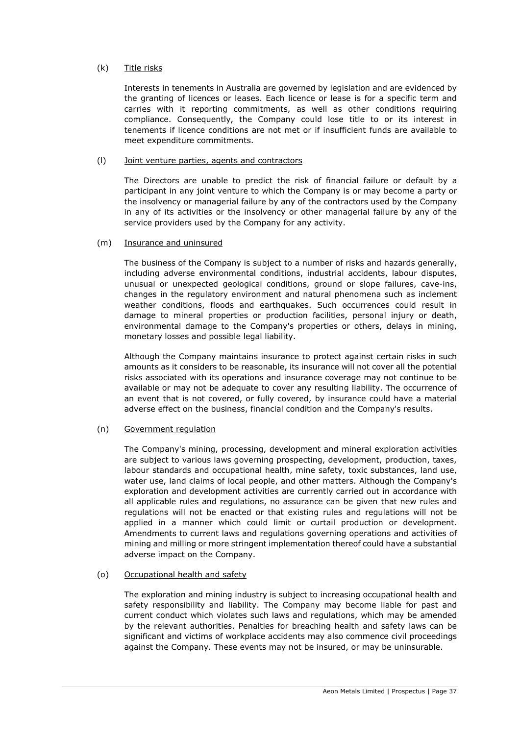## (k) Title risks

Interests in tenements in Australia are governed by legislation and are evidenced by the granting of licences or leases. Each licence or lease is for a specific term and carries with it reporting commitments, as well as other conditions requiring compliance. Consequently, the Company could lose title to or its interest in tenements if licence conditions are not met or if insufficient funds are available to meet expenditure commitments.

## (l) Joint venture parties, agents and contractors

The Directors are unable to predict the risk of financial failure or default by a participant in any joint venture to which the Company is or may become a party or the insolvency or managerial failure by any of the contractors used by the Company in any of its activities or the insolvency or other managerial failure by any of the service providers used by the Company for any activity.

## (m) Insurance and uninsured

The business of the Company is subject to a number of risks and hazards generally, including adverse environmental conditions, industrial accidents, labour disputes, unusual or unexpected geological conditions, ground or slope failures, cave-ins, changes in the regulatory environment and natural phenomena such as inclement weather conditions, floods and earthquakes. Such occurrences could result in damage to mineral properties or production facilities, personal injury or death, environmental damage to the Company's properties or others, delays in mining, monetary losses and possible legal liability.

Although the Company maintains insurance to protect against certain risks in such amounts as it considers to be reasonable, its insurance will not cover all the potential risks associated with its operations and insurance coverage may not continue to be available or may not be adequate to cover any resulting liability. The occurrence of an event that is not covered, or fully covered, by insurance could have a material adverse effect on the business, financial condition and the Company's results.

## (n) Government regulation

The Company's mining, processing, development and mineral exploration activities are subject to various laws governing prospecting, development, production, taxes, labour standards and occupational health, mine safety, toxic substances, land use, water use, land claims of local people, and other matters. Although the Company's exploration and development activities are currently carried out in accordance with all applicable rules and regulations, no assurance can be given that new rules and regulations will not be enacted or that existing rules and regulations will not be applied in a manner which could limit or curtail production or development. Amendments to current laws and regulations governing operations and activities of mining and milling or more stringent implementation thereof could have a substantial adverse impact on the Company.

#### (o) Occupational health and safety

The exploration and mining industry is subject to increasing occupational health and safety responsibility and liability. The Company may become liable for past and current conduct which violates such laws and regulations, which may be amended by the relevant authorities. Penalties for breaching health and safety laws can be significant and victims of workplace accidents may also commence civil proceedings against the Company. These events may not be insured, or may be uninsurable.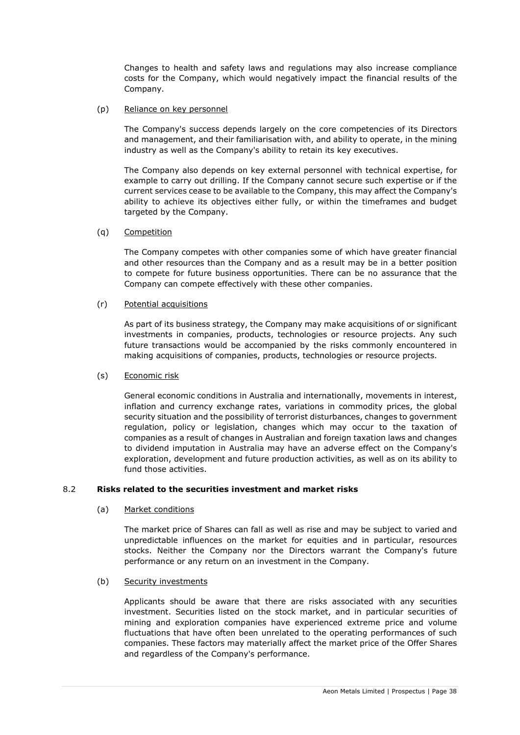Changes to health and safety laws and regulations may also increase compliance costs for the Company, which would negatively impact the financial results of the Company.

## (p) Reliance on key personnel

The Company's success depends largely on the core competencies of its Directors and management, and their familiarisation with, and ability to operate, in the mining industry as well as the Company's ability to retain its key executives.

The Company also depends on key external personnel with technical expertise, for example to carry out drilling. If the Company cannot secure such expertise or if the current services cease to be available to the Company, this may affect the Company's ability to achieve its objectives either fully, or within the timeframes and budget targeted by the Company.

## (q) Competition

The Company competes with other companies some of which have greater financial and other resources than the Company and as a result may be in a better position to compete for future business opportunities. There can be no assurance that the Company can compete effectively with these other companies.

## (r) Potential acquisitions

As part of its business strategy, the Company may make acquisitions of or significant investments in companies, products, technologies or resource projects. Any such future transactions would be accompanied by the risks commonly encountered in making acquisitions of companies, products, technologies or resource projects.

## (s) Economic risk

General economic conditions in Australia and internationally, movements in interest, inflation and currency exchange rates, variations in commodity prices, the global security situation and the possibility of terrorist disturbances, changes to government regulation, policy or legislation, changes which may occur to the taxation of companies as a result of changes in Australian and foreign taxation laws and changes to dividend imputation in Australia may have an adverse effect on the Company's exploration, development and future production activities, as well as on its ability to fund those activities.

## 8.2 **Risks related to the securities investment and market risks**

#### (a) Market conditions

The market price of Shares can fall as well as rise and may be subject to varied and unpredictable influences on the market for equities and in particular, resources stocks. Neither the Company nor the Directors warrant the Company's future performance or any return on an investment in the Company.

#### (b) Security investments

Applicants should be aware that there are risks associated with any securities investment. Securities listed on the stock market, and in particular securities of mining and exploration companies have experienced extreme price and volume fluctuations that have often been unrelated to the operating performances of such companies. These factors may materially affect the market price of the Offer Shares and regardless of the Company's performance.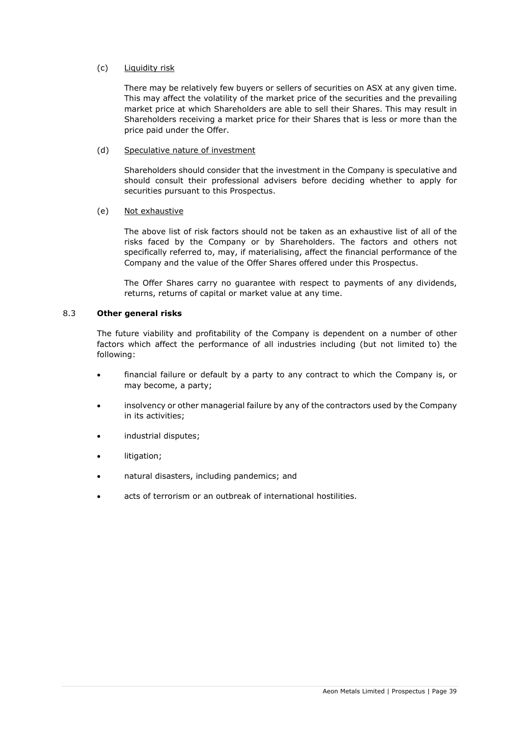## (c) Liquidity risk

There may be relatively few buyers or sellers of securities on ASX at any given time. This may affect the volatility of the market price of the securities and the prevailing market price at which Shareholders are able to sell their Shares. This may result in Shareholders receiving a market price for their Shares that is less or more than the price paid under the Offer.

## (d) Speculative nature of investment

Shareholders should consider that the investment in the Company is speculative and should consult their professional advisers before deciding whether to apply for securities pursuant to this Prospectus.

## (e) Not exhaustive

The above list of risk factors should not be taken as an exhaustive list of all of the risks faced by the Company or by Shareholders. The factors and others not specifically referred to, may, if materialising, affect the financial performance of the Company and the value of the Offer Shares offered under this Prospectus.

The Offer Shares carry no guarantee with respect to payments of any dividends, returns, returns of capital or market value at any time.

## 8.3 **Other general risks**

The future viability and profitability of the Company is dependent on a number of other factors which affect the performance of all industries including (but not limited to) the following:

- financial failure or default by a party to any contract to which the Company is, or may become, a party;
- insolvency or other managerial failure by any of the contractors used by the Company in its activities;
- industrial disputes;
- litigation:
- natural disasters, including pandemics; and
- acts of terrorism or an outbreak of international hostilities.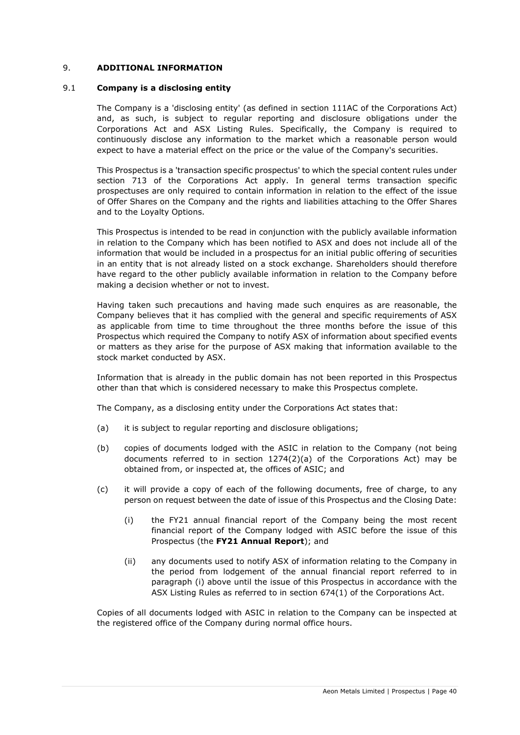## <span id="page-39-0"></span>9. **ADDITIONAL INFORMATION**

#### 9.1 **Company is a disclosing entity**

The Company is a 'disclosing entity' (as defined in section 111AC of the Corporations Act) and, as such, is subject to regular reporting and disclosure obligations under the Corporations Act and ASX Listing Rules. Specifically, the Company is required to continuously disclose any information to the market which a reasonable person would expect to have a material effect on the price or the value of the Company's securities.

This Prospectus is a 'transaction specific prospectus' to which the special content rules under section 713 of the Corporations Act apply. In general terms transaction specific prospectuses are only required to contain information in relation to the effect of the issue of Offer Shares on the Company and the rights and liabilities attaching to the Offer Shares and to the Loyalty Options.

This Prospectus is intended to be read in conjunction with the publicly available information in relation to the Company which has been notified to ASX and does not include all of the information that would be included in a prospectus for an initial public offering of securities in an entity that is not already listed on a stock exchange. Shareholders should therefore have regard to the other publicly available information in relation to the Company before making a decision whether or not to invest.

Having taken such precautions and having made such enquires as are reasonable, the Company believes that it has complied with the general and specific requirements of ASX as applicable from time to time throughout the three months before the issue of this Prospectus which required the Company to notify ASX of information about specified events or matters as they arise for the purpose of ASX making that information available to the stock market conducted by ASX.

Information that is already in the public domain has not been reported in this Prospectus other than that which is considered necessary to make this Prospectus complete.

The Company, as a disclosing entity under the Corporations Act states that:

- (a) it is subject to regular reporting and disclosure obligations;
- (b) copies of documents lodged with the ASIC in relation to the Company (not being documents referred to in section  $1274(2)(a)$  of the Corporations Act) may be obtained from, or inspected at, the offices of ASIC; and
- (c) it will provide a copy of each of the following documents, free of charge, to any person on request between the date of issue of this Prospectus and the Closing Date:
	- (i) the FY21 annual financial report of the Company being the most recent financial report of the Company lodged with ASIC before the issue of this Prospectus (the **FY21 Annual Report**); and
	- (ii) any documents used to notify ASX of information relating to the Company in the period from lodgement of the annual financial report referred to in paragraph (i) above until the issue of this Prospectus in accordance with the ASX Listing Rules as referred to in section 674(1) of the Corporations Act.

Copies of all documents lodged with ASIC in relation to the Company can be inspected at the registered office of the Company during normal office hours.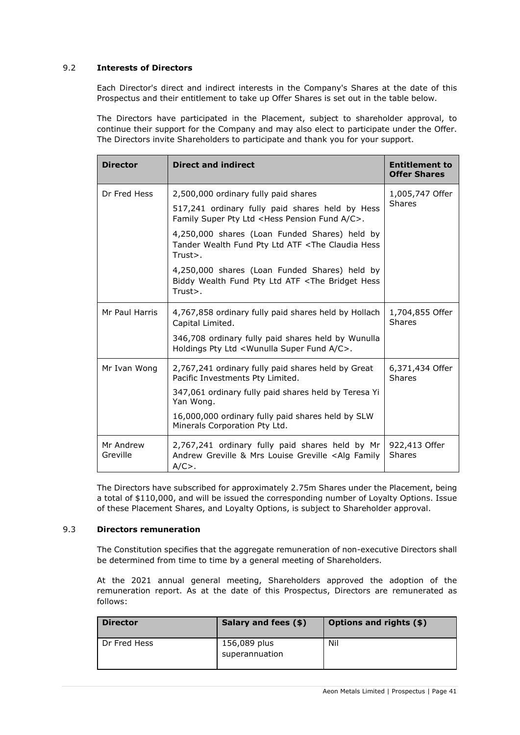## 9.2 **Interests of Directors**

Each Director's direct and indirect interests in the Company's Shares at the date of this Prospectus and their entitlement to take up Offer Shares is set out in the table below.

The Directors have participated in the Placement, subject to shareholder approval, to continue their support for the Company and may also elect to participate under the Offer. The Directors invite Shareholders to participate and thank you for your support.

| <b>Director</b>       | <b>Direct and indirect</b>                                                                                                         | <b>Entitlement to</b><br><b>Offer Shares</b> |  |
|-----------------------|------------------------------------------------------------------------------------------------------------------------------------|----------------------------------------------|--|
| Dr Fred Hess          | 2,500,000 ordinary fully paid shares                                                                                               | 1,005,747 Offer                              |  |
|                       | 517,241 ordinary fully paid shares held by Hess<br>Family Super Pty Ltd <hess a="" c="" fund="" pension="">.</hess>                | <b>Shares</b>                                |  |
|                       | 4,250,000 shares (Loan Funded Shares) held by<br>Tander Wealth Fund Pty Ltd ATF <the claudia="" hess<br="">Trust&gt;.</the>        |                                              |  |
|                       | 4,250,000 shares (Loan Funded Shares) held by<br>Biddy Wealth Fund Pty Ltd ATF <the bridget="" hess<br="">Trust&gt;.</the>         |                                              |  |
| Mr Paul Harris        | 4,767,858 ordinary fully paid shares held by Hollach<br>Capital Limited.                                                           | 1,704,855 Offer<br><b>Shares</b>             |  |
|                       | 346,708 ordinary fully paid shares held by Wunulla<br>Holdings Pty Ltd <wunulla a="" c="" fund="" super="">.</wunulla>             |                                              |  |
| Mr Ivan Wong          | 2,767,241 ordinary fully paid shares held by Great<br>Pacific Investments Pty Limited.                                             | 6,371,434 Offer<br><b>Shares</b>             |  |
|                       | 347,061 ordinary fully paid shares held by Teresa Yi<br>Yan Wong.                                                                  |                                              |  |
|                       | 16,000,000 ordinary fully paid shares held by SLW<br>Minerals Corporation Pty Ltd.                                                 |                                              |  |
| Mr Andrew<br>Greville | 2,767,241 ordinary fully paid shares held by Mr<br>Andrew Greville & Mrs Louise Greville <alg family<br=""><math>A/C</math>.</alg> | 922,413 Offer<br><b>Shares</b>               |  |

The Directors have subscribed for approximately 2.75m Shares under the Placement, being a total of \$110,000, and will be issued the corresponding number of Loyalty Options. Issue of these Placement Shares, and Loyalty Options, is subject to Shareholder approval.

## 9.3 **Directors remuneration**

The Constitution specifies that the aggregate remuneration of non-executive Directors shall be determined from time to time by a general meeting of Shareholders.

At the 2021 annual general meeting, Shareholders approved the adoption of the remuneration report. As at the date of this Prospectus, Directors are remunerated as follows:

| <b>Director</b> | Salary and fees (\$)           | <b>Options and rights (\$)</b> |
|-----------------|--------------------------------|--------------------------------|
| Dr Fred Hess    | 156,089 plus<br>superannuation | Nil                            |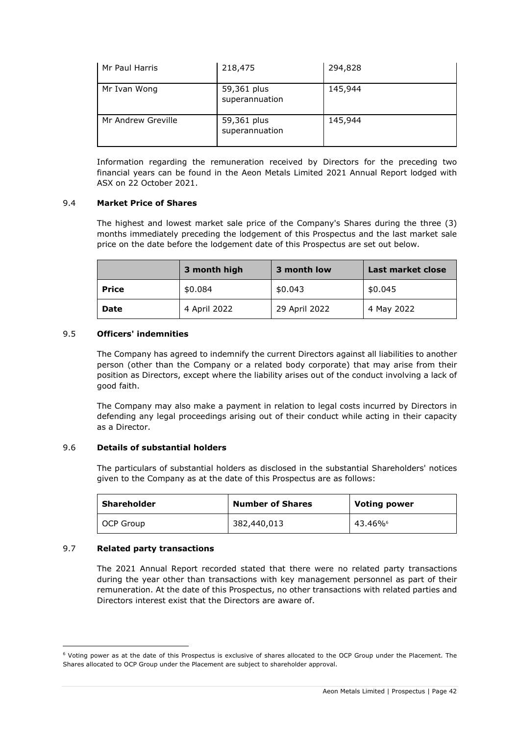| Mr Paul Harris     | 218,475                       | 294,828 |
|--------------------|-------------------------------|---------|
| Mr Ivan Wong       | 59,361 plus<br>superannuation | 145,944 |
| Mr Andrew Greville | 59,361 plus<br>superannuation | 145,944 |

Information regarding the remuneration received by Directors for the preceding two financial years can be found in the Aeon Metals Limited 2021 Annual Report lodged with ASX on 22 October 2021.

## 9.4 **Market Price of Shares**

The highest and lowest market sale price of the Company's Shares during the three (3) months immediately preceding the lodgement of this Prospectus and the last market sale price on the date before the lodgement date of this Prospectus are set out below.

|              | 3 month high | 3 month low   | Last market close |
|--------------|--------------|---------------|-------------------|
| <b>Price</b> | \$0.084      | \$0.043       | \$0.045           |
| <b>Date</b>  | 4 April 2022 | 29 April 2022 | 4 May 2022        |

## 9.5 **Officers' indemnities**

The Company has agreed to indemnify the current Directors against all liabilities to another person (other than the Company or a related body corporate) that may arise from their position as Directors, except where the liability arises out of the conduct involving a lack of good faith.

The Company may also make a payment in relation to legal costs incurred by Directors in defending any legal proceedings arising out of their conduct while acting in their capacity as a Director.

## 9.6 **Details of substantial holders**

The particulars of substantial holders as disclosed in the substantial Shareholders' notices given to the Company as at the date of this Prospectus are as follows:

| Shareholder | <b>Number of Shares</b> | <b>Voting power</b> |
|-------------|-------------------------|---------------------|
| OCP Group   | 382,440,013             | 43.46%              |

## 9.7 **Related party transactions**

The 2021 Annual Report recorded stated that there were no related party transactions during the year other than transactions with key management personnel as part of their remuneration. At the date of this Prospectus, no other transactions with related parties and Directors interest exist that the Directors are aware of.

<sup>6</sup> Voting power as at the date of this Prospectus is exclusive of shares allocated to the OCP Group under the Placement. The Shares allocated to OCP Group under the Placement are subject to shareholder approval.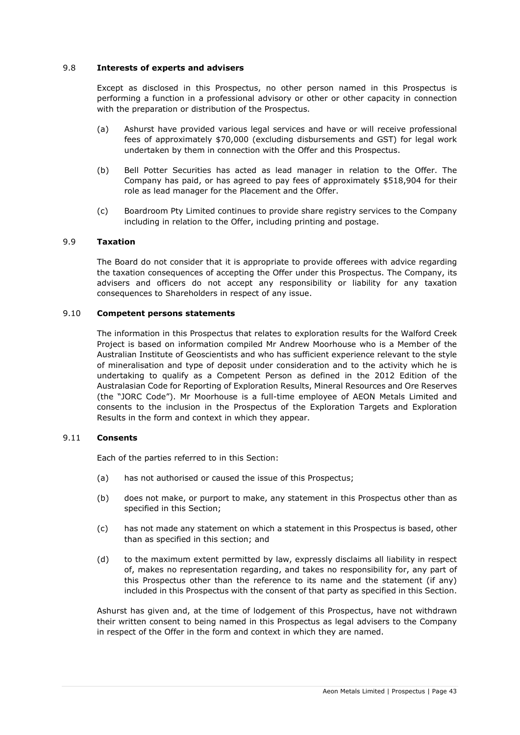## <span id="page-42-0"></span>9.8 **Interests of experts and advisers**

Except as disclosed in this Prospectus, no other person named in this Prospectus is performing a function in a professional advisory or other or other capacity in connection with the preparation or distribution of the Prospectus.

- (a) Ashurst have provided various legal services and have or will receive professional fees of approximately \$70,000 (excluding disbursements and GST) for legal work undertaken by them in connection with the Offer and this Prospectus.
- (b) Bell Potter Securities has acted as lead manager in relation to the Offer. The Company has paid, or has agreed to pay fees of approximately \$518,904 for their role as lead manager for the Placement and the Offer.
- (c) Boardroom Pty Limited continues to provide share registry services to the Company including in relation to the Offer, including printing and postage.

#### 9.9 **Taxation**

The Board do not consider that it is appropriate to provide offerees with advice regarding the taxation consequences of accepting the Offer under this Prospectus. The Company, its advisers and officers do not accept any responsibility or liability for any taxation consequences to Shareholders in respect of any issue.

#### 9.10 **Competent persons statements**

The information in this Prospectus that relates to exploration results for the Walford Creek Project is based on information compiled Mr Andrew Moorhouse who is a Member of the Australian Institute of Geoscientists and who has sufficient experience relevant to the style of mineralisation and type of deposit under consideration and to the activity which he is undertaking to qualify as a Competent Person as defined in the 2012 Edition of the Australasian Code for Reporting of Exploration Results, Mineral Resources and Ore Reserves (the "JORC Code"). Mr Moorhouse is a full-time employee of AEON Metals Limited and consents to the inclusion in the Prospectus of the Exploration Targets and Exploration Results in the form and context in which they appear.

#### 9.11 **Consents**

Each of the parties referred to in this Section:

- (a) has not authorised or caused the issue of this Prospectus;
- (b) does not make, or purport to make, any statement in this Prospectus other than as specified in this Section;
- (c) has not made any statement on which a statement in this Prospectus is based, other than as specified in this section; and
- (d) to the maximum extent permitted by law, expressly disclaims all liability in respect of, makes no representation regarding, and takes no responsibility for, any part of this Prospectus other than the reference to its name and the statement (if any) included in this Prospectus with the consent of that party as specified in this Section.

Ashurst has given and, at the time of lodgement of this Prospectus, have not withdrawn their written consent to being named in this Prospectus as legal advisers to the Company in respect of the Offer in the form and context in which they are named.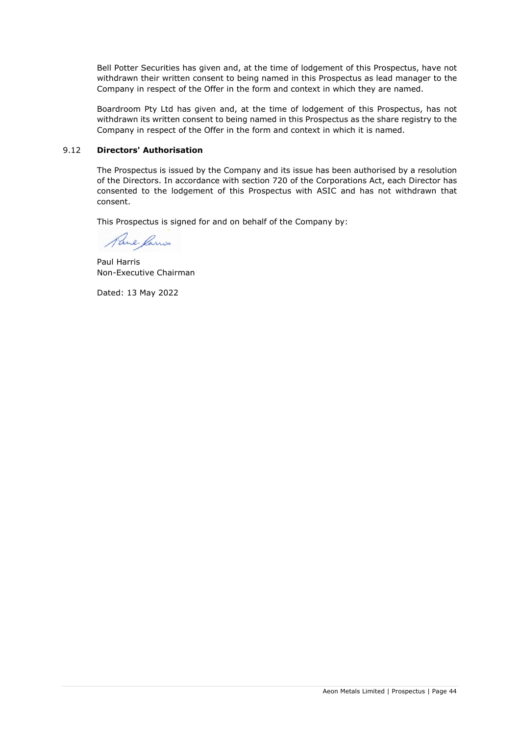Bell Potter Securities has given and, at the time of lodgement of this Prospectus, have not withdrawn their written consent to being named in this Prospectus as lead manager to the Company in respect of the Offer in the form and context in which they are named.

Boardroom Pty Ltd has given and, at the time of lodgement of this Prospectus, has not withdrawn its written consent to being named in this Prospectus as the share registry to the Company in respect of the Offer in the form and context in which it is named.

## 9.12 **Directors' Authorisation**

The Prospectus is issued by the Company and its issue has been authorised by a resolution of the Directors. In accordance with section 720 of the Corporations Act, each Director has consented to the lodgement of this Prospectus with ASIC and has not withdrawn that consent.

This Prospectus is signed for and on behalf of the Company by:

Paul Ramis

Paul Harris Non-Executive Chairman

Dated: 13 May 2022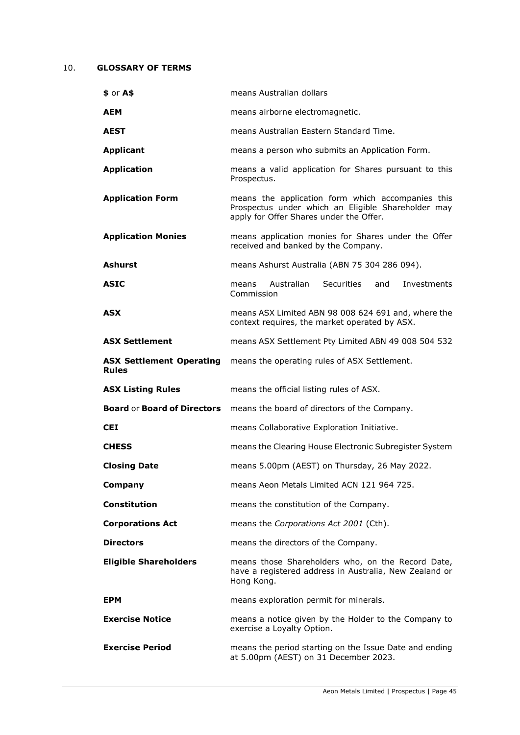## <span id="page-44-0"></span>10. **GLOSSARY OF TERMS**

| $$$ or $A$$                                     | means Australian dollars                                                                                                                           |
|-------------------------------------------------|----------------------------------------------------------------------------------------------------------------------------------------------------|
| <b>AEM</b>                                      | means airborne electromagnetic.                                                                                                                    |
| <b>AEST</b>                                     | means Australian Eastern Standard Time.                                                                                                            |
| <b>Applicant</b>                                | means a person who submits an Application Form.                                                                                                    |
| <b>Application</b>                              | means a valid application for Shares pursuant to this<br>Prospectus.                                                                               |
| <b>Application Form</b>                         | means the application form which accompanies this<br>Prospectus under which an Eligible Shareholder may<br>apply for Offer Shares under the Offer. |
| <b>Application Monies</b>                       | means application monies for Shares under the Offer<br>received and banked by the Company.                                                         |
| <b>Ashurst</b>                                  | means Ashurst Australia (ABN 75 304 286 094).                                                                                                      |
| <b>ASIC</b>                                     | Securities<br>Australian<br>and<br>Investments<br>means<br>Commission                                                                              |
| <b>ASX</b>                                      | means ASX Limited ABN 98 008 624 691 and, where the<br>context requires, the market operated by ASX.                                               |
| <b>ASX Settlement</b>                           | means ASX Settlement Pty Limited ABN 49 008 504 532                                                                                                |
| <b>ASX Settlement Operating</b><br><b>Rules</b> | means the operating rules of ASX Settlement.                                                                                                       |
| <b>ASX Listing Rules</b>                        | means the official listing rules of ASX.                                                                                                           |
|                                                 | Board or Board of Directors means the board of directors of the Company.                                                                           |
|                                                 |                                                                                                                                                    |
| <b>CEI</b>                                      | means Collaborative Exploration Initiative.                                                                                                        |
| <b>CHESS</b>                                    | means the Clearing House Electronic Subregister System                                                                                             |
| <b>Closing Date</b>                             | means 5.00pm (AEST) on Thursday, 26 May 2022.                                                                                                      |
| Company                                         | means Aeon Metals Limited ACN 121 964 725.                                                                                                         |
| <b>Constitution</b>                             | means the constitution of the Company.                                                                                                             |
| <b>Corporations Act</b>                         | means the Corporations Act 2001 (Cth).                                                                                                             |
| <b>Directors</b>                                | means the directors of the Company.                                                                                                                |
| <b>Eligible Shareholders</b>                    | means those Shareholders who, on the Record Date,<br>have a registered address in Australia, New Zealand or<br>Hong Kong.                          |
| <b>EPM</b>                                      | means exploration permit for minerals.                                                                                                             |
| <b>Exercise Notice</b>                          | means a notice given by the Holder to the Company to<br>exercise a Loyalty Option.                                                                 |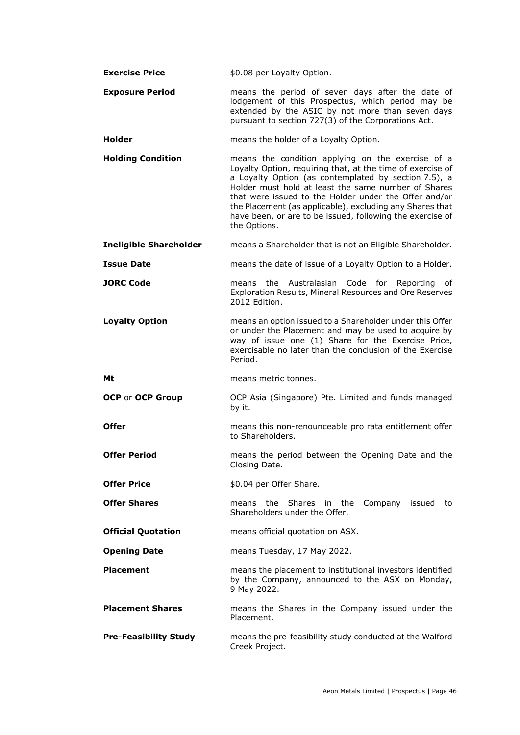| <b>Exercise Price</b>         | \$0.08 per Loyalty Option.                                                                                                                                                                                                                                                                                                                                                                                                       |
|-------------------------------|----------------------------------------------------------------------------------------------------------------------------------------------------------------------------------------------------------------------------------------------------------------------------------------------------------------------------------------------------------------------------------------------------------------------------------|
| <b>Exposure Period</b>        | means the period of seven days after the date of<br>lodgement of this Prospectus, which period may be<br>extended by the ASIC by not more than seven days<br>pursuant to section 727(3) of the Corporations Act.                                                                                                                                                                                                                 |
| <b>Holder</b>                 | means the holder of a Loyalty Option.                                                                                                                                                                                                                                                                                                                                                                                            |
| <b>Holding Condition</b>      | means the condition applying on the exercise of a<br>Loyalty Option, requiring that, at the time of exercise of<br>a Loyalty Option (as contemplated by section 7.5), a<br>Holder must hold at least the same number of Shares<br>that were issued to the Holder under the Offer and/or<br>the Placement (as applicable), excluding any Shares that<br>have been, or are to be issued, following the exercise of<br>the Options. |
| <b>Ineligible Shareholder</b> | means a Shareholder that is not an Eligible Shareholder.                                                                                                                                                                                                                                                                                                                                                                         |
| <b>Issue Date</b>             | means the date of issue of a Loyalty Option to a Holder.                                                                                                                                                                                                                                                                                                                                                                         |
| <b>JORC Code</b>              | the Australasian Code for Reporting of<br>means<br>Exploration Results, Mineral Resources and Ore Reserves<br>2012 Edition.                                                                                                                                                                                                                                                                                                      |
| <b>Loyalty Option</b>         | means an option issued to a Shareholder under this Offer<br>or under the Placement and may be used to acquire by<br>way of issue one (1) Share for the Exercise Price,<br>exercisable no later than the conclusion of the Exercise<br>Period.                                                                                                                                                                                    |
| Mt                            | means metric tonnes.                                                                                                                                                                                                                                                                                                                                                                                                             |
| <b>OCP or OCP Group</b>       | OCP Asia (Singapore) Pte. Limited and funds managed<br>by it.                                                                                                                                                                                                                                                                                                                                                                    |
| <b>Offer</b>                  | means this non-renounceable pro rata entitlement offer<br>to Shareholders.                                                                                                                                                                                                                                                                                                                                                       |
| <b>Offer Period</b>           | means the period between the Opening Date and the<br>Closing Date.                                                                                                                                                                                                                                                                                                                                                               |
| <b>Offer Price</b>            | \$0.04 per Offer Share.                                                                                                                                                                                                                                                                                                                                                                                                          |
| <b>Offer Shares</b>           | means the Shares in the Company issued to<br>Shareholders under the Offer.                                                                                                                                                                                                                                                                                                                                                       |
| <b>Official Quotation</b>     | means official quotation on ASX.                                                                                                                                                                                                                                                                                                                                                                                                 |
| <b>Opening Date</b>           | means Tuesday, 17 May 2022.                                                                                                                                                                                                                                                                                                                                                                                                      |
| <b>Placement</b>              | means the placement to institutional investors identified<br>by the Company, announced to the ASX on Monday,<br>9 May 2022.                                                                                                                                                                                                                                                                                                      |
| <b>Placement Shares</b>       | means the Shares in the Company issued under the<br>Placement.                                                                                                                                                                                                                                                                                                                                                                   |
| <b>Pre-Feasibility Study</b>  | means the pre-feasibility study conducted at the Walford<br>Creek Project.                                                                                                                                                                                                                                                                                                                                                       |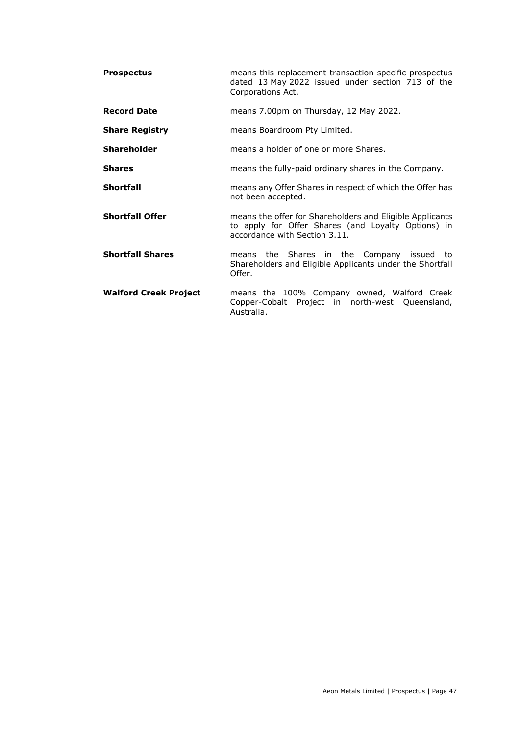| <b>Prospectus</b>            | means this replacement transaction specific prospectus<br>dated 13 May 2022 issued under section 713 of the<br>Corporations Act.                |
|------------------------------|-------------------------------------------------------------------------------------------------------------------------------------------------|
| <b>Record Date</b>           | means 7.00pm on Thursday, 12 May 2022.                                                                                                          |
| <b>Share Registry</b>        | means Boardroom Pty Limited.                                                                                                                    |
| <b>Shareholder</b>           | means a holder of one or more Shares.                                                                                                           |
| <b>Shares</b>                | means the fully-paid ordinary shares in the Company.                                                                                            |
| <b>Shortfall</b>             | means any Offer Shares in respect of which the Offer has<br>not been accepted.                                                                  |
| <b>Shortfall Offer</b>       | means the offer for Shareholders and Eligible Applicants<br>to apply for Offer Shares (and Loyalty Options) in<br>accordance with Section 3.11. |
| <b>Shortfall Shares</b>      | means the Shares in the Company issued to<br>Shareholders and Eligible Applicants under the Shortfall<br>Offer.                                 |
| <b>Walford Creek Project</b> | means the 100% Company owned, Walford Creek<br>Copper-Cobalt Project in north-west Queensland,<br>Australia.                                    |